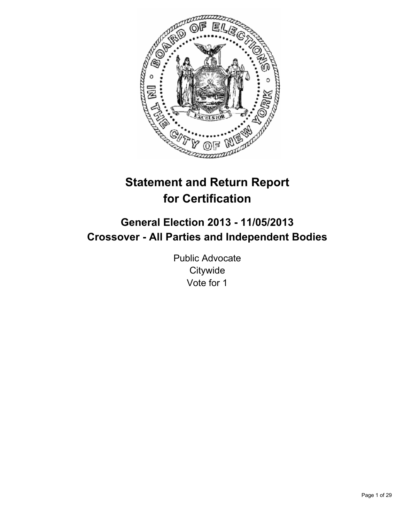

# **Statement and Return Report for Certification**

## **General Election 2013 - 11/05/2013 Crossover - All Parties and Independent Bodies**

Public Advocate **Citywide** Vote for 1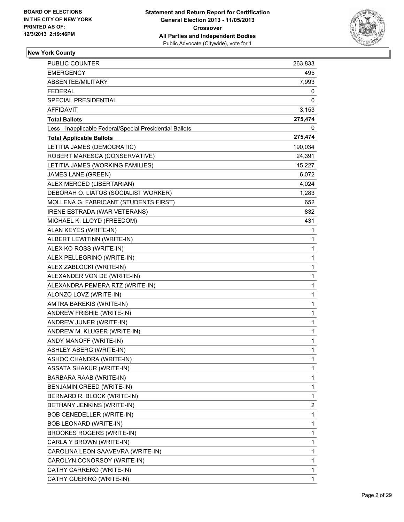

| <b>PUBLIC COUNTER</b>                                    | 263,833      |
|----------------------------------------------------------|--------------|
| <b>EMERGENCY</b>                                         | 495          |
| ABSENTEE/MILITARY                                        | 7,993        |
| <b>FEDERAL</b>                                           | 0            |
| SPECIAL PRESIDENTIAL                                     | 0            |
| AFFIDAVIT                                                | 3,153        |
| <b>Total Ballots</b>                                     | 275,474      |
| Less - Inapplicable Federal/Special Presidential Ballots | 0            |
| <b>Total Applicable Ballots</b>                          | 275,474      |
| LETITIA JAMES (DEMOCRATIC)                               | 190,034      |
| ROBERT MARESCA (CONSERVATIVE)                            | 24,391       |
| LETITIA JAMES (WORKING FAMILIES)                         | 15,227       |
| JAMES LANE (GREEN)                                       | 6,072        |
| ALEX MERCED (LIBERTARIAN)                                | 4,024        |
| DEBORAH O. LIATOS (SOCIALIST WORKER)                     | 1,283        |
| MOLLENA G. FABRICANT (STUDENTS FIRST)                    | 652          |
| IRENE ESTRADA (WAR VETERANS)                             | 832          |
| MICHAEL K. LLOYD (FREEDOM)                               | 431          |
| ALAN KEYES (WRITE-IN)                                    | 1            |
| ALBERT LEWITINN (WRITE-IN)                               | 1            |
| ALEX KO ROSS (WRITE-IN)                                  | 1            |
| ALEX PELLEGRINO (WRITE-IN)                               | 1            |
| ALEX ZABLOCKI (WRITE-IN)                                 | 1            |
| ALEXANDER VON DE (WRITE-IN)                              | 1            |
| ALEXANDRA PEMERA RTZ (WRITE-IN)                          | 1            |
| ALONZO LOVZ (WRITE-IN)                                   | 1            |
| AMTRA BAREKIS (WRITE-IN)                                 | 1            |
| ANDREW FRISHIE (WRITE-IN)                                | 1            |
| ANDREW JUNER (WRITE-IN)                                  | 1            |
| ANDREW M. KLUGER (WRITE-IN)                              | 1            |
| ANDY MANOFF (WRITE-IN)                                   | 1            |
| <b>ASHLEY ABERG (WRITE-IN)</b>                           | $\mathbf{1}$ |
| ASHOC CHANDRA (WRITE-IN)                                 | 1            |
| <b>ASSATA SHAKUR (WRITE-IN)</b>                          | 1            |
| BARBARA RAAB (WRITE-IN)                                  | 1            |
| BENJAMIN CREED (WRITE-IN)                                | 1            |
| BERNARD R. BLOCK (WRITE-IN)                              | 1            |
| BETHANY JENKINS (WRITE-IN)                               | 2            |
| BOB CENEDELLER (WRITE-IN)                                | 1            |
| BOB LEONARD (WRITE-IN)                                   | 1            |
| BROOKES ROGERS (WRITE-IN)                                | 1            |
| CARLA Y BROWN (WRITE-IN)                                 | 1            |
| CAROLINA LEON SAAVEVRA (WRITE-IN)                        | 1            |
| CAROLYN CONORSOY (WRITE-IN)                              | 1            |
| CATHY CARRERO (WRITE-IN)                                 | 1            |
| CATHY GUERIRO (WRITE-IN)                                 | 1            |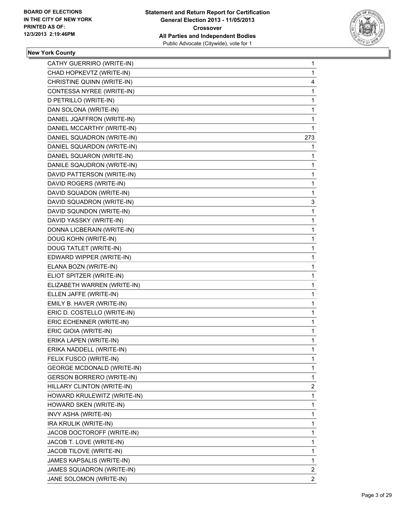

| CATHY GUERRIRO (WRITE-IN)         | 1            |
|-----------------------------------|--------------|
| CHAD HOPKEVTZ (WRITE-IN)          | $\mathbf{1}$ |
| CHRISTINE QUINN (WRITE-IN)        | 4            |
| CONTESSA NYREE (WRITE-IN)         | 1            |
| D PETRILLO (WRITE-IN)             | 1            |
| DAN SOLONA (WRITE-IN)             | 1            |
| DANIEL JQAFFRON (WRITE-IN)        | 1            |
| DANIEL MCCARTHY (WRITE-IN)        | 1            |
| DANIEL SQUADRON (WRITE-IN)        | 273          |
| DANIEL SQUARDON (WRITE-IN)        | 1            |
| DANIEL SQUARON (WRITE-IN)         | 1            |
| DANILE SQAUDRON (WRITE-IN)        | 1            |
| DAVID PATTERSON (WRITE-IN)        | 1            |
| DAVID ROGERS (WRITE-IN)           | 1            |
| DAVID SQUADON (WRITE-IN)          | 1            |
| DAVID SQUADRON (WRITE-IN)         | 3            |
| DAVID SQUNDON (WRITE-IN)          | 1            |
| DAVID YASSKY (WRITE-IN)           | 1            |
| DONNA LICBERAIN (WRITE-IN)        | 1            |
| DOUG KOHN (WRITE-IN)              | 1            |
| DOUG TATLET (WRITE-IN)            | 1            |
| EDWARD WIPPER (WRITE-IN)          | 1            |
| ELANA BOZN (WRITE-IN)             | 1            |
| ELIOT SPITZER (WRITE-IN)          | 1            |
| ELIZABETH WARREN (WRITE-IN)       | 1            |
| ELLEN JAFFE (WRITE-IN)            | 1            |
| EMILY B. HAVER (WRITE-IN)         | 1            |
| ERIC D. COSTELLO (WRITE-IN)       | 1            |
| ERIC ECHENNER (WRITE-IN)          | 1            |
| ERIC GIOIA (WRITE-IN)             | 1            |
| ERIKA LAPEN (WRITE-IN)            | 1            |
| ERIKA NADDELL (WRITE-IN)          | 1            |
| FELIX FUSCO (WRITE-IN)            | 1            |
| <b>GEORGE MCDONALD (WRITE-IN)</b> | 1            |
| <b>GERSON BORRERO (WRITE-IN)</b>  | 1            |
| HILLARY CLINTON (WRITE-IN)        | 2            |
| HOWARD KRULEWITZ (WRITE-IN)       | 1            |
| HOWARD SKEN (WRITE-IN)            | 1            |
| INVY ASHA (WRITE-IN)              | 1            |
| IRA KRULIK (WRITE-IN)             | 1            |
| JACOB DOCTOROFF (WRITE-IN)        | 1            |
| JACOB T. LOVE (WRITE-IN)          | 1            |
| JACOB TILOVE (WRITE-IN)           | 1            |
| JAMES KAPSALIS (WRITE-IN)         | 1            |
| JAMES SQUADRON (WRITE-IN)         | $\mathbf{2}$ |
| JANE SOLOMON (WRITE-IN)           | 2            |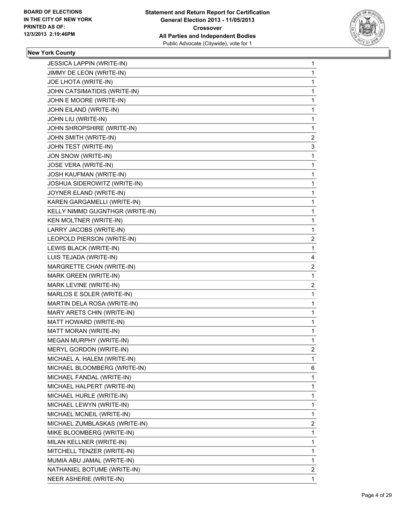

| <b>JESSICA LAPPIN (WRITE-IN)</b> | 1              |
|----------------------------------|----------------|
| JIMMY DE LEON (WRITE-IN)         | 1              |
| JOE LHOTA (WRITE-IN)             | 1              |
| JOHN CATSIMATIDIS (WRITE-IN)     | 1              |
| JOHN E MOORE (WRITE-IN)          | 1              |
| JOHN EILAND (WRITE-IN)           | 1              |
| JOHN LIU (WRITE-IN)              | 1              |
| JOHN SHROPSHIRE (WRITE-IN)       | 1              |
| JOHN SMITH (WRITE-IN)            | $\mathbf{2}$   |
| JOHN TEST (WRITE-IN)             | 3              |
| JON SNOW (WRITE-IN)              | 1              |
| <b>JOSE VERA (WRITE-IN)</b>      | 1              |
| <b>JOSH KAUFMAN (WRITE-IN)</b>   | 1              |
| JOSHUA SIDEROWITZ (WRITE-IN)     | 1              |
| JOYNER ELAND (WRITE-IN)          | 1              |
| KAREN GARGAMELLI (WRITE-IN)      | 1              |
| KELLY NIMMD GUGNTHGR (WRITE-IN)  | 1              |
| KEN MOLTNER (WRITE-IN)           | 1              |
| LARRY JACOBS (WRITE-IN)          | 1              |
| LEOPOLD PIERSON (WRITE-IN)       | 2              |
| LEWIS BLACK (WRITE-IN)           | 1              |
| LUIS TEJADA (WRITE-IN)           | 4              |
| MARGRETTE CHAN (WRITE-IN)        | 2              |
| MARK GREEN (WRITE-IN)            | 1              |
| MARK LEVINE (WRITE-IN)           | $\mathbf{2}$   |
| MARLOS E SOLER (WRITE-IN)        | 1              |
| MARTIN DELA ROSA (WRITE-IN)      | 1              |
| MARY ARETS CHIN (WRITE-IN)       | 1              |
| MATT HOWARD (WRITE-IN)           | 1              |
| MATT MORAN (WRITE-IN)            | 1              |
| <b>MEGAN MURPHY (WRITE-IN)</b>   | 1              |
| MERYL GORDON (WRITE-IN)          | $\overline{2}$ |
| MICHAEL A. HALEM (WRITE-IN)      | 1              |
| MICHAEL BLOOMBERG (WRITE-IN)     | 6              |
| MICHAEL FANDAL (WRITE-IN)        | 1              |
| MICHAEL HALPERT (WRITE-IN)       | 1              |
| MICHAEL HURLE (WRITE-IN)         | 1              |
| MICHAEL LEWYN (WRITE-IN)         | 1              |
| MICHAEL MCNEIL (WRITE-IN)        | 1              |
| MICHAEL ZUMBLASKAS (WRITE-IN)    | 2              |
| MIKE BLOOMBERG (WRITE-IN)        | 1              |
| MILAN KELLNER (WRITE-IN)         | 1              |
| MITCHELL TENZER (WRITE-IN)       | 1              |
| MUMIA ABU JAMAL (WRITE-IN)       | 1              |
| NATHANIEL BOTUME (WRITE-IN)      | $\mathbf{2}$   |
| NEER ASHERIE (WRITE-IN)          | 1.             |
|                                  |                |
|                                  |                |
|                                  |                |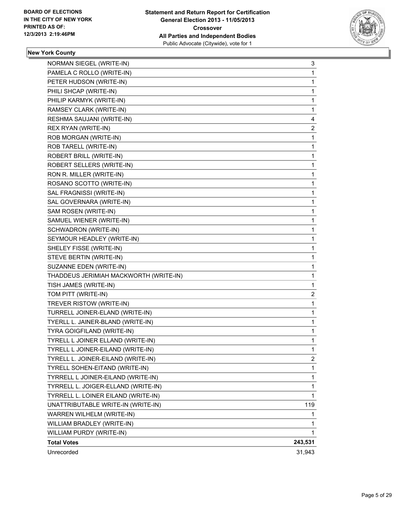

| NORMAN SIEGEL (WRITE-IN)               | 3              |
|----------------------------------------|----------------|
| PAMELA C ROLLO (WRITE-IN)              | 1              |
| PETER HUDSON (WRITE-IN)                | 1              |
| PHILI SHCAP (WRITE-IN)                 | 1              |
| PHILIP KARMYK (WRITE-IN)               | 1              |
| RAMSEY CLARK (WRITE-IN)                | 1              |
| RESHMA SAUJANI (WRITE-IN)              | 4              |
| REX RYAN (WRITE-IN)                    | 2              |
| ROB MORGAN (WRITE-IN)                  | 1              |
| ROB TARELL (WRITE-IN)                  | 1              |
| ROBERT BRILL (WRITE-IN)                | 1              |
| ROBERT SELLERS (WRITE-IN)              | 1              |
| RON R. MILLER (WRITE-IN)               | 1              |
| ROSANO SCOTTO (WRITE-IN)               | 1              |
| SAL FRAGNISSI (WRITE-IN)               | 1              |
| SAL GOVERNARA (WRITE-IN)               | 1              |
| SAM ROSEN (WRITE-IN)                   | 1              |
| SAMUEL WIENER (WRITE-IN)               | 1              |
| SCHWADRON (WRITE-IN)                   | 1              |
| SEYMOUR HEADLEY (WRITE-IN)             | 1              |
| SHELEY FISSE (WRITE-IN)                | 1              |
| STEVE BERTIN (WRITE-IN)                | 1              |
| SUZANNE EDEN (WRITE-IN)                | 1              |
| THADDEUS JERIMIAH MACKWORTH (WRITE-IN) | 1              |
| TISH JAMES (WRITE-IN)                  | 1              |
| TOM PITT (WRITE-IN)                    | 2              |
| TREVER RISTOW (WRITE-IN)               | 1              |
| TURRELL JOINER-ELAND (WRITE-IN)        | 1              |
| TYERLL L. JAINER-BLAND (WRITE-IN)      | 1              |
| TYRA GOIGFILAND (WRITE-IN)             | 1              |
| TYRELL L JOINER ELLAND (WRITE-IN)      | 1              |
| TYRELL L JOINER-EILAND (WRITE-IN)      | 1              |
| TYRELL L. JOINER-EILAND (WRITE-IN)     | $\overline{c}$ |
| TYRELL SOHEN-EITAND (WRITE-IN)         | 1              |
| TYRRELL L JOINER-EILAND (WRITE-IN)     | 1              |
| TYRRELL L. JOIGER-ELLAND (WRITE-IN)    | 1              |
| TYRRELL L. LOINER EILAND (WRITE-IN)    | $\mathbf{1}$   |
| UNATTRIBUTABLE WRITE-IN (WRITE-IN)     | 119            |
| WARREN WILHELM (WRITE-IN)              | 1              |
| WILLIAM BRADLEY (WRITE-IN)             | 1              |
| WILLIAM PURDY (WRITE-IN)               | 1              |
| <b>Total Votes</b>                     | 243,531        |
| Unrecorded                             | 31,943         |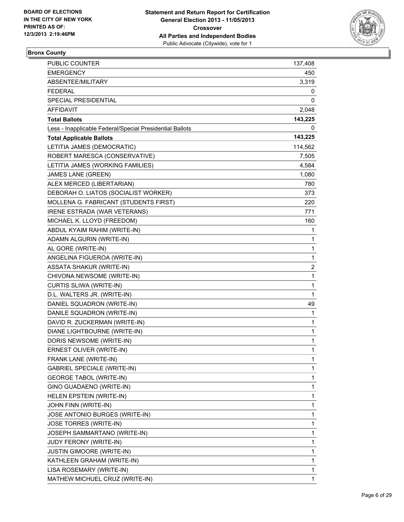

## **Bronx County**

| PUBLIC COUNTER                                           | 137,408 |
|----------------------------------------------------------|---------|
| <b>EMERGENCY</b>                                         | 450     |
| ABSENTEE/MILITARY                                        | 3,319   |
| <b>FEDERAL</b>                                           | 0       |
| SPECIAL PRESIDENTIAL                                     | 0       |
| <b>AFFIDAVIT</b>                                         | 2,048   |
| <b>Total Ballots</b>                                     | 143,225 |
| Less - Inapplicable Federal/Special Presidential Ballots | 0       |
| <b>Total Applicable Ballots</b>                          | 143,225 |
| LETITIA JAMES (DEMOCRATIC)                               | 114,562 |
| ROBERT MARESCA (CONSERVATIVE)                            | 7,505   |
| LETITIA JAMES (WORKING FAMILIES)                         | 4,584   |
| <b>JAMES LANE (GREEN)</b>                                | 1,080   |
| ALEX MERCED (LIBERTARIAN)                                | 780     |
| DEBORAH O. LIATOS (SOCIALIST WORKER)                     | 373     |
| MOLLENA G. FABRICANT (STUDENTS FIRST)                    | 220     |
| IRENE ESTRADA (WAR VETERANS)                             | 771     |
| MICHAEL K. LLOYD (FREEDOM)                               | 160     |
| ABDUL KYAIM RAHIM (WRITE-IN)                             | 1       |
| ADAMN ALGURIN (WRITE-IN)                                 | 1       |
| AL GORE (WRITE-IN)                                       | 1       |
| ANGELINA FIGUEROA (WRITE-IN)                             | 1       |
| <b>ASSATA SHAKUR (WRITE-IN)</b>                          | 2       |
| CHIVONA NEWSOME (WRITE-IN)                               | 1       |
| CURTIS SLIWA (WRITE-IN)                                  | 1       |
| D.L. WALTERS JR. (WRITE-IN)                              | 1       |
| DANIEL SQUADRON (WRITE-IN)                               | 49      |
| DANILE SQUADRON (WRITE-IN)                               | 1       |
| DAVID R. ZUCKERMAN (WRITE-IN)                            | 1       |
| DIANE LIGHTBOURNE (WRITE-IN)                             | 1       |
| DORIS NEWSOME (WRITE-IN)                                 | 1       |
| ERNEST OLIVER (WRITE-IN)                                 | 1       |
| FRANK LANE (WRITE-IN)                                    | 1       |
| <b>GABRIEL SPECIALE (WRITE-IN)</b>                       | 1       |
| <b>GEORGE TABOL (WRITE-IN)</b>                           | 1       |
| GINO GUADAENO (WRITE-IN)                                 | 1       |
| HELEN EPSTEIN (WRITE-IN)                                 | 1       |
| JOHN FINN (WRITE-IN)                                     | 1       |
| JOSE ANTONIO BURGES (WRITE-IN)                           | 1       |
| JOSE TORRES (WRITE-IN)                                   | 1       |
| JOSEPH SAMMARTANO (WRITE-IN)                             | 1       |
| JUDY FERONY (WRITE-IN)                                   | 1       |
| <b>JUSTIN GIMOORE (WRITE-IN)</b>                         | 1       |
| KATHLEEN GRAHAM (WRITE-IN)                               | 1       |
| LISA ROSEMARY (WRITE-IN)                                 | 1       |
| MATHEW MICHUEL CRUZ (WRITE-IN)                           | 1       |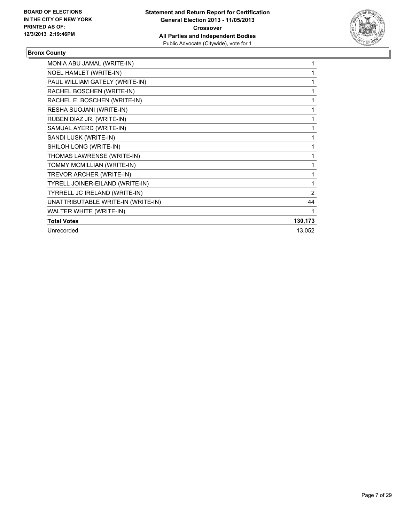

## **Bronx County**

| MONIA ABU JAMAL (WRITE-IN)         |                |
|------------------------------------|----------------|
| NOEL HAMLET (WRITE-IN)             |                |
| PAUL WILLIAM GATELY (WRITE-IN)     | 1              |
| RACHEL BOSCHEN (WRITE-IN)          | 1              |
| RACHEL E. BOSCHEN (WRITE-IN)       | 1              |
| RESHA SUOJANI (WRITE-IN)           | 1              |
| RUBEN DIAZ JR. (WRITE-IN)          | 1              |
| SAMUAL AYERD (WRITE-IN)            | 1              |
| SANDI LUSK (WRITE-IN)              | 1              |
| SHILOH LONG (WRITE-IN)             | 1              |
| THOMAS LAWRENSE (WRITE-IN)         | 1              |
| TOMMY MCMILLIAN (WRITE-IN)         | 1              |
| TREVOR ARCHER (WRITE-IN)           | 1              |
| TYRELL JOINER-EILAND (WRITE-IN)    |                |
| TYRRELL JC IRELAND (WRITE-IN)      | $\overline{2}$ |
| UNATTRIBUTABLE WRITE-IN (WRITE-IN) | 44             |
| WALTER WHITE (WRITE-IN)            |                |
| <b>Total Votes</b>                 | 130,173        |
| Unrecorded                         | 13,052         |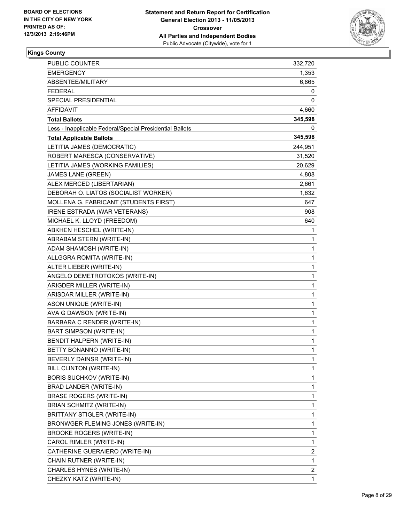

| PUBLIC COUNTER                                           | 332,720 |
|----------------------------------------------------------|---------|
| EMERGENCY                                                | 1,353   |
| ABSENTEE/MILITARY                                        | 6,865   |
| <b>FEDERAL</b>                                           | 0       |
| SPECIAL PRESIDENTIAL                                     | 0       |
| AFFIDAVIT                                                | 4,660   |
| <b>Total Ballots</b>                                     | 345,598 |
| Less - Inapplicable Federal/Special Presidential Ballots | 0       |
| <b>Total Applicable Ballots</b>                          | 345,598 |
| LETITIA JAMES (DEMOCRATIC)                               | 244,951 |
| ROBERT MARESCA (CONSERVATIVE)                            | 31,520  |
| LETITIA JAMES (WORKING FAMILIES)                         | 20,629  |
| <b>JAMES LANE (GREEN)</b>                                | 4,808   |
| ALEX MERCED (LIBERTARIAN)                                | 2,661   |
| DEBORAH O. LIATOS (SOCIALIST WORKER)                     | 1,632   |
| MOLLENA G. FABRICANT (STUDENTS FIRST)                    | 647     |
| IRENE ESTRADA (WAR VETERANS)                             | 908     |
| MICHAEL K. LLOYD (FREEDOM)                               | 640     |
| ABKHEN HESCHEL (WRITE-IN)                                | 1       |
| ABRABAM STERN (WRITE-IN)                                 | 1       |
| ADAM SHAMOSH (WRITE-IN)                                  | 1       |
| ALLGGRA ROMITA (WRITE-IN)                                | 1       |
| ALTER LIEBER (WRITE-IN)                                  | 1       |
| ANGELO DEMETROTOKOS (WRITE-IN)                           | 1       |
| ARIGDER MILLER (WRITE-IN)                                | 1       |
| ARISDAR MILLER (WRITE-IN)                                | 1       |
| ASON UNIQUE (WRITE-IN)                                   | 1       |
| AVA G DAWSON (WRITE-IN)                                  | 1       |
| BARBARA C RENDER (WRITE-IN)                              | 1       |
| <b>BART SIMPSON (WRITE-IN)</b>                           | 1       |
| BENDIT HALPERN (WRITE-IN)                                | 1       |
| BETTY BONANNO (WRITE-IN)                                 | 1       |
| BEVERLY DAINSR (WRITE-IN)                                | 1       |
| BILL CLINTON (WRITE-IN)                                  | 1       |
| <b>BORIS SUCHKOV (WRITE-IN)</b>                          | 1       |
| BRAD LANDER (WRITE-IN)                                   | 1       |
| <b>BRASE ROGERS (WRITE-IN)</b>                           | 1       |
| BRIAN SCHMITZ (WRITE-IN)                                 | 1       |
| BRITTANY STIGLER (WRITE-IN)                              | 1       |
| BRONWGER FLEMING JONES (WRITE-IN)                        | 1       |
| <b>BROOKE ROGERS (WRITE-IN)</b>                          | 1       |
| CAROL RIMLER (WRITE-IN)                                  | 1       |
| CATHERINE GUERAIERO (WRITE-IN)                           | 2       |
| CHAIN RUTNER (WRITE-IN)                                  | 1       |
| CHARLES HYNES (WRITE-IN)                                 | 2       |
| CHEZKY KATZ (WRITE-IN)                                   | 1       |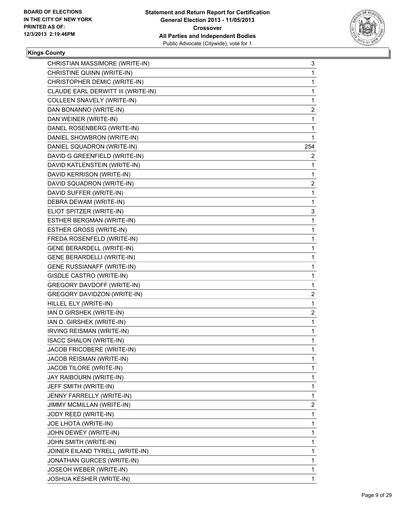

| CHRISTIAN MASSIMORE (WRITE-IN)     | 3            |
|------------------------------------|--------------|
| CHRISTINE QUINN (WRITE-IN)         | 1            |
| CHRISTOPHER DEMIC (WRITE-IN)       | $\mathbf{1}$ |
| CLAUDE EARL DERWITT III (WRITE-IN) | 1            |
| COLLEEN SNAVELY (WRITE-IN)         | $\mathbf 1$  |
| DAN BONANNO (WRITE-IN)             | 2            |
| DAN WEINER (WRITE-IN)              | 1            |
| DANEL ROSENBERG (WRITE-IN)         | 1            |
| DANIEL SHOWBRON (WRITE-IN)         | 1            |
| DANIEL SQUADRON (WRITE-IN)         | 254          |
| DAVID G GREENFIELD (WRITE-IN)      | $\mathbf{2}$ |
| DAVID KATLENSTEIN (WRITE-IN)       | 1            |
| DAVID KERRISON (WRITE-IN)          | $\mathbf{1}$ |
| DAVID SQUADRON (WRITE-IN)          | 2            |
| DAVID SUFFER (WRITE-IN)            | $\mathbf{1}$ |
| DEBRA DEWAM (WRITE-IN)             | 1            |
| ELIOT SPITZER (WRITE-IN)           | 3            |
| ESTHER BERGMAN (WRITE-IN)          | 1            |
| ESTHER GROSS (WRITE-IN)            | 1            |
| FREDA ROSENFELD (WRITE-IN)         | 1            |
| <b>GENE BERARDELL (WRITE-IN)</b>   | $\mathbf{1}$ |
| <b>GENE BERARDELLI (WRITE-IN)</b>  | 1            |
| <b>GENE RUSSIANAFF (WRITE-IN)</b>  | $\mathbf 1$  |
| GISDLE CASTRO (WRITE-IN)           | 1            |
| GREGORY DAVDOFF (WRITE-IN)         | $\mathbf{1}$ |
| GREGORY DAVIDZON (WRITE-IN)        | 2            |
| HILLEL ELY (WRITE-IN)              | $\mathbf 1$  |
| IAN D GIRSHEK (WRITE-IN)           | 2            |
| IAN D. GIRSHEK (WRITE-IN)          | 1            |
| IRVING REISMAN (WRITE-IN)          | 1            |
| <b>ISACC SHALON (WRITE-IN)</b>     | 1            |
| JACOB FRICOBERE (WRITE-IN)         | $\mathbf{1}$ |
| JACOB REISMAN (WRITE-IN)           | 1            |
| JACOB TILORE (WRITE-IN)            | 1            |
| JAY RAIBOURN (WRITE-IN)            | 1            |
| JEFF SMITH (WRITE-IN)              | $\mathbf 1$  |
| JENNY FARRELLY (WRITE-IN)          | 1            |
| JIMMY MCMILLAN (WRITE-IN)          | 2            |
| JODY REED (WRITE-IN)               | 1            |
| JOE LHOTA (WRITE-IN)               | 1            |
| JOHN DEWEY (WRITE-IN)              | 1            |
| JOHN SMITH (WRITE-IN)              | 1            |
| JOINER EILAND TYRELL (WRITE-IN)    | 1            |
| JONATHAN GURCES (WRITE-IN)         | 1            |
| JOSEOH WEBER (WRITE-IN)            | 1            |
| <b>JOSHUA KESHER (WRITE-IN)</b>    | 1            |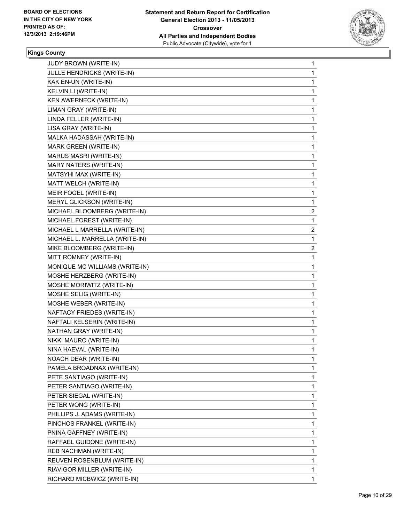

| JULLE HENDRICKS (WRITE-IN)<br>1<br>KAK EN-UN (WRITE-IN)<br>1<br>KELVIN LI (WRITE-IN)<br>1<br>KEN AWERNECK (WRITE-IN)<br>1<br>LIMAN GRAY (WRITE-IN)<br>1<br>LINDA FELLER (WRITE-IN)<br>1<br>LISA GRAY (WRITE-IN)<br>1<br>MALKA HADASSAH (WRITE-IN)<br>1<br>MARK GREEN (WRITE-IN)<br>1<br>MARUS MASRI (WRITE-IN)<br>1<br>MARY NATERS (WRITE-IN)<br>1<br>MATSYHI MAX (WRITE-IN)<br>1<br>MATT WELCH (WRITE-IN)<br>1<br>MEIR FOGEL (WRITE-IN)<br>1<br>MERYL GLICKSON (WRITE-IN)<br>1<br>MICHAEL BLOOMBERG (WRITE-IN)<br>2<br>MICHAEL FOREST (WRITE-IN)<br>1<br>MICHAEL L MARRELLA (WRITE-IN)<br>2<br>MICHAEL L. MARRELLA (WRITE-IN)<br>1<br>MIKE BLOOMBERG (WRITE-IN)<br>2<br>MITT ROMNEY (WRITE-IN)<br>1<br>MONIQUE MC WILLIAMS (WRITE-IN)<br>1<br>MOSHE HERZBERG (WRITE-IN)<br>1<br>MOSHE MORIWITZ (WRITE-IN)<br>1<br>MOSHE SELIG (WRITE-IN)<br>1<br>MOSHE WEBER (WRITE-IN)<br>1<br>NAFTACY FRIEDES (WRITE-IN)<br>1<br>NAFTALI KELSERIN (WRITE-IN)<br>1<br>NATHAN GRAY (WRITE-IN)<br>1<br>NIKKI MAURO (WRITE-IN)<br>1<br>NINA HAEVAL (WRITE-IN)<br>1<br>NOACH DEAR (WRITE-IN)<br>1<br>PAMELA BROADNAX (WRITE-IN)<br>1<br>1<br>PETE SANTIAGO (WRITE-IN)<br>PETER SANTIAGO (WRITE-IN)<br>1<br>PETER SIEGAL (WRITE-IN)<br>1<br>1<br>PETER WONG (WRITE-IN)<br>PHILLIPS J. ADAMS (WRITE-IN)<br>1<br>PINCHOS FRANKEL (WRITE-IN)<br>1<br>1<br>PNINA GAFFNEY (WRITE-IN)<br>RAFFAEL GUIDONE (WRITE-IN)<br>1<br>REB NACHMAN (WRITE-IN)<br>1<br>REUVEN ROSENBLUM (WRITE-IN)<br>1<br>RIAVIGOR MILLER (WRITE-IN)<br>1 | JUDY BROWN (WRITE-IN)       | 1 |
|-------------------------------------------------------------------------------------------------------------------------------------------------------------------------------------------------------------------------------------------------------------------------------------------------------------------------------------------------------------------------------------------------------------------------------------------------------------------------------------------------------------------------------------------------------------------------------------------------------------------------------------------------------------------------------------------------------------------------------------------------------------------------------------------------------------------------------------------------------------------------------------------------------------------------------------------------------------------------------------------------------------------------------------------------------------------------------------------------------------------------------------------------------------------------------------------------------------------------------------------------------------------------------------------------------------------------------------------------------------------------------------------------------------------------------------------------------------------------------------------------------|-----------------------------|---|
|                                                                                                                                                                                                                                                                                                                                                                                                                                                                                                                                                                                                                                                                                                                                                                                                                                                                                                                                                                                                                                                                                                                                                                                                                                                                                                                                                                                                                                                                                                       |                             |   |
|                                                                                                                                                                                                                                                                                                                                                                                                                                                                                                                                                                                                                                                                                                                                                                                                                                                                                                                                                                                                                                                                                                                                                                                                                                                                                                                                                                                                                                                                                                       |                             |   |
|                                                                                                                                                                                                                                                                                                                                                                                                                                                                                                                                                                                                                                                                                                                                                                                                                                                                                                                                                                                                                                                                                                                                                                                                                                                                                                                                                                                                                                                                                                       |                             |   |
|                                                                                                                                                                                                                                                                                                                                                                                                                                                                                                                                                                                                                                                                                                                                                                                                                                                                                                                                                                                                                                                                                                                                                                                                                                                                                                                                                                                                                                                                                                       |                             |   |
|                                                                                                                                                                                                                                                                                                                                                                                                                                                                                                                                                                                                                                                                                                                                                                                                                                                                                                                                                                                                                                                                                                                                                                                                                                                                                                                                                                                                                                                                                                       |                             |   |
|                                                                                                                                                                                                                                                                                                                                                                                                                                                                                                                                                                                                                                                                                                                                                                                                                                                                                                                                                                                                                                                                                                                                                                                                                                                                                                                                                                                                                                                                                                       |                             |   |
|                                                                                                                                                                                                                                                                                                                                                                                                                                                                                                                                                                                                                                                                                                                                                                                                                                                                                                                                                                                                                                                                                                                                                                                                                                                                                                                                                                                                                                                                                                       |                             |   |
|                                                                                                                                                                                                                                                                                                                                                                                                                                                                                                                                                                                                                                                                                                                                                                                                                                                                                                                                                                                                                                                                                                                                                                                                                                                                                                                                                                                                                                                                                                       |                             |   |
|                                                                                                                                                                                                                                                                                                                                                                                                                                                                                                                                                                                                                                                                                                                                                                                                                                                                                                                                                                                                                                                                                                                                                                                                                                                                                                                                                                                                                                                                                                       |                             |   |
|                                                                                                                                                                                                                                                                                                                                                                                                                                                                                                                                                                                                                                                                                                                                                                                                                                                                                                                                                                                                                                                                                                                                                                                                                                                                                                                                                                                                                                                                                                       |                             |   |
|                                                                                                                                                                                                                                                                                                                                                                                                                                                                                                                                                                                                                                                                                                                                                                                                                                                                                                                                                                                                                                                                                                                                                                                                                                                                                                                                                                                                                                                                                                       |                             |   |
|                                                                                                                                                                                                                                                                                                                                                                                                                                                                                                                                                                                                                                                                                                                                                                                                                                                                                                                                                                                                                                                                                                                                                                                                                                                                                                                                                                                                                                                                                                       |                             |   |
|                                                                                                                                                                                                                                                                                                                                                                                                                                                                                                                                                                                                                                                                                                                                                                                                                                                                                                                                                                                                                                                                                                                                                                                                                                                                                                                                                                                                                                                                                                       |                             |   |
|                                                                                                                                                                                                                                                                                                                                                                                                                                                                                                                                                                                                                                                                                                                                                                                                                                                                                                                                                                                                                                                                                                                                                                                                                                                                                                                                                                                                                                                                                                       |                             |   |
|                                                                                                                                                                                                                                                                                                                                                                                                                                                                                                                                                                                                                                                                                                                                                                                                                                                                                                                                                                                                                                                                                                                                                                                                                                                                                                                                                                                                                                                                                                       |                             |   |
|                                                                                                                                                                                                                                                                                                                                                                                                                                                                                                                                                                                                                                                                                                                                                                                                                                                                                                                                                                                                                                                                                                                                                                                                                                                                                                                                                                                                                                                                                                       |                             |   |
|                                                                                                                                                                                                                                                                                                                                                                                                                                                                                                                                                                                                                                                                                                                                                                                                                                                                                                                                                                                                                                                                                                                                                                                                                                                                                                                                                                                                                                                                                                       |                             |   |
|                                                                                                                                                                                                                                                                                                                                                                                                                                                                                                                                                                                                                                                                                                                                                                                                                                                                                                                                                                                                                                                                                                                                                                                                                                                                                                                                                                                                                                                                                                       |                             |   |
|                                                                                                                                                                                                                                                                                                                                                                                                                                                                                                                                                                                                                                                                                                                                                                                                                                                                                                                                                                                                                                                                                                                                                                                                                                                                                                                                                                                                                                                                                                       |                             |   |
|                                                                                                                                                                                                                                                                                                                                                                                                                                                                                                                                                                                                                                                                                                                                                                                                                                                                                                                                                                                                                                                                                                                                                                                                                                                                                                                                                                                                                                                                                                       |                             |   |
|                                                                                                                                                                                                                                                                                                                                                                                                                                                                                                                                                                                                                                                                                                                                                                                                                                                                                                                                                                                                                                                                                                                                                                                                                                                                                                                                                                                                                                                                                                       |                             |   |
|                                                                                                                                                                                                                                                                                                                                                                                                                                                                                                                                                                                                                                                                                                                                                                                                                                                                                                                                                                                                                                                                                                                                                                                                                                                                                                                                                                                                                                                                                                       |                             |   |
|                                                                                                                                                                                                                                                                                                                                                                                                                                                                                                                                                                                                                                                                                                                                                                                                                                                                                                                                                                                                                                                                                                                                                                                                                                                                                                                                                                                                                                                                                                       |                             |   |
|                                                                                                                                                                                                                                                                                                                                                                                                                                                                                                                                                                                                                                                                                                                                                                                                                                                                                                                                                                                                                                                                                                                                                                                                                                                                                                                                                                                                                                                                                                       |                             |   |
|                                                                                                                                                                                                                                                                                                                                                                                                                                                                                                                                                                                                                                                                                                                                                                                                                                                                                                                                                                                                                                                                                                                                                                                                                                                                                                                                                                                                                                                                                                       |                             |   |
|                                                                                                                                                                                                                                                                                                                                                                                                                                                                                                                                                                                                                                                                                                                                                                                                                                                                                                                                                                                                                                                                                                                                                                                                                                                                                                                                                                                                                                                                                                       |                             |   |
|                                                                                                                                                                                                                                                                                                                                                                                                                                                                                                                                                                                                                                                                                                                                                                                                                                                                                                                                                                                                                                                                                                                                                                                                                                                                                                                                                                                                                                                                                                       |                             |   |
|                                                                                                                                                                                                                                                                                                                                                                                                                                                                                                                                                                                                                                                                                                                                                                                                                                                                                                                                                                                                                                                                                                                                                                                                                                                                                                                                                                                                                                                                                                       |                             |   |
|                                                                                                                                                                                                                                                                                                                                                                                                                                                                                                                                                                                                                                                                                                                                                                                                                                                                                                                                                                                                                                                                                                                                                                                                                                                                                                                                                                                                                                                                                                       |                             |   |
|                                                                                                                                                                                                                                                                                                                                                                                                                                                                                                                                                                                                                                                                                                                                                                                                                                                                                                                                                                                                                                                                                                                                                                                                                                                                                                                                                                                                                                                                                                       |                             |   |
|                                                                                                                                                                                                                                                                                                                                                                                                                                                                                                                                                                                                                                                                                                                                                                                                                                                                                                                                                                                                                                                                                                                                                                                                                                                                                                                                                                                                                                                                                                       |                             |   |
|                                                                                                                                                                                                                                                                                                                                                                                                                                                                                                                                                                                                                                                                                                                                                                                                                                                                                                                                                                                                                                                                                                                                                                                                                                                                                                                                                                                                                                                                                                       |                             |   |
|                                                                                                                                                                                                                                                                                                                                                                                                                                                                                                                                                                                                                                                                                                                                                                                                                                                                                                                                                                                                                                                                                                                                                                                                                                                                                                                                                                                                                                                                                                       |                             |   |
|                                                                                                                                                                                                                                                                                                                                                                                                                                                                                                                                                                                                                                                                                                                                                                                                                                                                                                                                                                                                                                                                                                                                                                                                                                                                                                                                                                                                                                                                                                       |                             |   |
|                                                                                                                                                                                                                                                                                                                                                                                                                                                                                                                                                                                                                                                                                                                                                                                                                                                                                                                                                                                                                                                                                                                                                                                                                                                                                                                                                                                                                                                                                                       |                             |   |
|                                                                                                                                                                                                                                                                                                                                                                                                                                                                                                                                                                                                                                                                                                                                                                                                                                                                                                                                                                                                                                                                                                                                                                                                                                                                                                                                                                                                                                                                                                       |                             |   |
|                                                                                                                                                                                                                                                                                                                                                                                                                                                                                                                                                                                                                                                                                                                                                                                                                                                                                                                                                                                                                                                                                                                                                                                                                                                                                                                                                                                                                                                                                                       |                             |   |
|                                                                                                                                                                                                                                                                                                                                                                                                                                                                                                                                                                                                                                                                                                                                                                                                                                                                                                                                                                                                                                                                                                                                                                                                                                                                                                                                                                                                                                                                                                       |                             |   |
|                                                                                                                                                                                                                                                                                                                                                                                                                                                                                                                                                                                                                                                                                                                                                                                                                                                                                                                                                                                                                                                                                                                                                                                                                                                                                                                                                                                                                                                                                                       |                             |   |
|                                                                                                                                                                                                                                                                                                                                                                                                                                                                                                                                                                                                                                                                                                                                                                                                                                                                                                                                                                                                                                                                                                                                                                                                                                                                                                                                                                                                                                                                                                       |                             |   |
|                                                                                                                                                                                                                                                                                                                                                                                                                                                                                                                                                                                                                                                                                                                                                                                                                                                                                                                                                                                                                                                                                                                                                                                                                                                                                                                                                                                                                                                                                                       |                             |   |
|                                                                                                                                                                                                                                                                                                                                                                                                                                                                                                                                                                                                                                                                                                                                                                                                                                                                                                                                                                                                                                                                                                                                                                                                                                                                                                                                                                                                                                                                                                       |                             |   |
|                                                                                                                                                                                                                                                                                                                                                                                                                                                                                                                                                                                                                                                                                                                                                                                                                                                                                                                                                                                                                                                                                                                                                                                                                                                                                                                                                                                                                                                                                                       |                             |   |
|                                                                                                                                                                                                                                                                                                                                                                                                                                                                                                                                                                                                                                                                                                                                                                                                                                                                                                                                                                                                                                                                                                                                                                                                                                                                                                                                                                                                                                                                                                       |                             |   |
|                                                                                                                                                                                                                                                                                                                                                                                                                                                                                                                                                                                                                                                                                                                                                                                                                                                                                                                                                                                                                                                                                                                                                                                                                                                                                                                                                                                                                                                                                                       | RICHARD MICBWICZ (WRITE-IN) | 1 |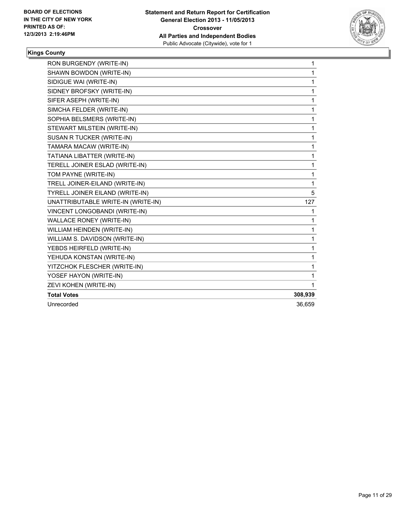

| RON BURGENDY (WRITE-IN)                | 1       |
|----------------------------------------|---------|
| SHAWN BOWDON (WRITE-IN)                | 1       |
| SIDIGUE WAI (WRITE-IN)                 | 1       |
| SIDNEY BROFSKY (WRITE-IN)              | 1       |
| SIFER ASEPH (WRITE-IN)                 | 1       |
| SIMCHA FELDER (WRITE-IN)               | 1       |
| SOPHIA BELSMERS (WRITE-IN)             | 1       |
| STEWART MILSTEIN (WRITE-IN)            | 1       |
| SUSAN R TUCKER (WRITE-IN)              | 1       |
| TAMARA MACAW (WRITE-IN)                | 1       |
| TATIANA LIBATTER (WRITE-IN)            | 1       |
| TERELL JOINER ESLAD (WRITE-IN)         | 1       |
| TOM PAYNE (WRITE-IN)                   | 1       |
| TRELL JOINER-EILAND (WRITE-IN)         | 1       |
| <b>TYRELL JOINER EILAND (WRITE-IN)</b> | 5       |
| UNATTRIBUTABLE WRITE-IN (WRITE-IN)     | 127     |
| VINCENT LONGOBANDI (WRITE-IN)          | 1       |
| <b>WALLACE RONEY (WRITE-IN)</b>        | 1       |
| WILLIAM HEINDEN (WRITE-IN)             | 1       |
| WILLIAM S. DAVIDSON (WRITE-IN)         | 1       |
| YEBDS HEIRFELD (WRITE-IN)              | 1       |
| YEHUDA KONSTAN (WRITE-IN)              | 1       |
| YITZCHOK FLESCHER (WRITE-IN)           | 1       |
| YOSEF HAYON (WRITE-IN)                 | 1       |
| ZEVI KOHEN (WRITE-IN)                  | 1       |
| <b>Total Votes</b>                     | 308,939 |
| Unrecorded                             | 36.659  |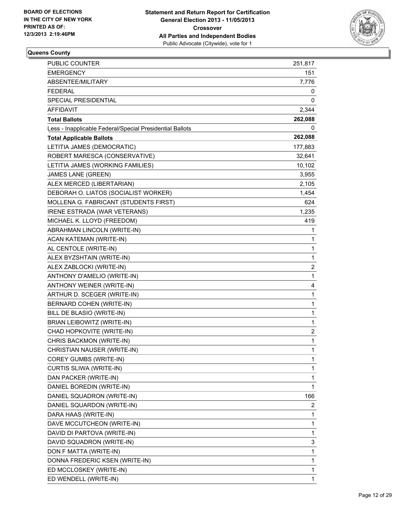

| <b>PUBLIC COUNTER</b>                                    | 251,817      |
|----------------------------------------------------------|--------------|
| <b>EMERGENCY</b>                                         | 151          |
| ABSENTEE/MILITARY                                        | 7,776        |
| <b>FEDERAL</b>                                           | 0            |
| SPECIAL PRESIDENTIAL                                     | 0            |
| AFFIDAVIT                                                | 2,344        |
| <b>Total Ballots</b>                                     | 262,088      |
| Less - Inapplicable Federal/Special Presidential Ballots | 0            |
| <b>Total Applicable Ballots</b>                          | 262,088      |
| LETITIA JAMES (DEMOCRATIC)                               | 177,883      |
| ROBERT MARESCA (CONSERVATIVE)                            | 32,641       |
| LETITIA JAMES (WORKING FAMILIES)                         | 10,102       |
| JAMES LANE (GREEN)                                       | 3,955        |
| ALEX MERCED (LIBERTARIAN)                                | 2,105        |
| DEBORAH O. LIATOS (SOCIALIST WORKER)                     | 1,454        |
| MOLLENA G. FABRICANT (STUDENTS FIRST)                    | 624          |
| IRENE ESTRADA (WAR VETERANS)                             | 1,235        |
| MICHAEL K. LLOYD (FREEDOM)                               | 419          |
| ABRAHMAN LINCOLN (WRITE-IN)                              | 1            |
| ACAN KATEMAN (WRITE-IN)                                  | 1            |
| AL CENTOLE (WRITE-IN)                                    | 1            |
| ALEX BYZSHTAIN (WRITE-IN)                                | 1            |
| ALEX ZABLOCKI (WRITE-IN)                                 | 2            |
| ANTHONY D'AMELIO (WRITE-IN)                              | 1            |
| ANTHONY WEINER (WRITE-IN)                                | 4            |
| ARTHUR D. SCEGER (WRITE-IN)                              | 1            |
| BERNARD COHEN (WRITE-IN)                                 | 1            |
| BILL DE BLASIO (WRITE-IN)                                | 1            |
| BRIAN LEIBOWITZ (WRITE-IN)                               | 1            |
| CHAD HOPKOVITE (WRITE-IN)                                | 2            |
| CHRIS BACKMON (WRITE-IN)                                 | 1            |
| CHRISTIAN NAUSER (WRITE-IN)                              | $\mathbf{1}$ |
| COREY GUMBS (WRITE-IN)                                   | 1            |
| <b>CURTIS SLIWA (WRITE-IN)</b>                           | 1            |
| DAN PACKER (WRITE-IN)                                    | 1            |
| DANIEL BOREDIN (WRITE-IN)                                | 1            |
| DANIEL SQUADRON (WRITE-IN)                               | 166          |
| DANIEL SQUARDON (WRITE-IN)                               | 2            |
| DARA HAAS (WRITE-IN)                                     | 1            |
| DAVE MCCUTCHEON (WRITE-IN)                               | 1            |
| DAVID DI PARTOVA (WRITE-IN)                              | 1            |
| DAVID SQUADRON (WRITE-IN)                                | 3            |
| DON F MATTA (WRITE-IN)                                   | 1            |
| DONNA FREDERIC KSEN (WRITE-IN)                           | 1            |
| ED MCCLOSKEY (WRITE-IN)                                  | 1            |
| ED WENDELL (WRITE-IN)                                    | 1            |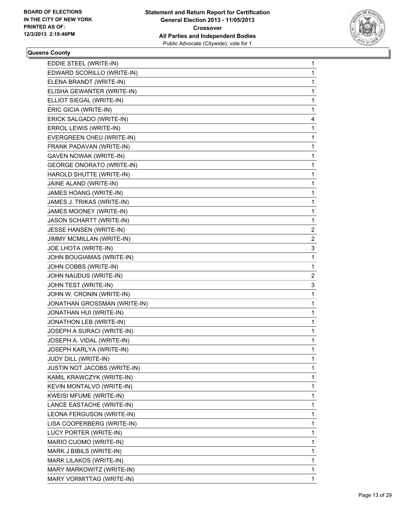

| EDDIE STEEL (WRITE-IN)           | 1              |
|----------------------------------|----------------|
| EDWARD SCORILLO (WRITE-IN)       | 1              |
| ELENA BRANDT (WRITE-IN)          | 1              |
| ELISHA GEWANTER (WRITE-IN)       | 1              |
| ELLIOT SIEGAL (WRITE-IN)         | 1              |
| ERIC GICIA (WRITE-IN)            | 1              |
| ERICK SALGADO (WRITE-IN)         | 4              |
| ERROL LEWIS (WRITE-IN)           | 1              |
| EVERGREEN CHEU (WRITE-IN)        | 1              |
| FRANK PADAVAN (WRITE-IN)         | 1              |
| GAVEN NOWAK (WRITE-IN)           | 1              |
| <b>GEORGE ONORATO (WRITE-IN)</b> | 1              |
| HAROLD SHUTTE (WRITE-IN)         | 1              |
| JAINE ALAND (WRITE-IN)           | 1              |
| JAMES HOANG (WRITE-IN)           | 1              |
| JAMES J. TRIKAS (WRITE-IN)       | 1              |
| JAMES MOONEY (WRITE-IN)          | 1              |
| JASON SCHARTT (WRITE-IN)         | 1              |
| JESSE HANSEN (WRITE-IN)          | $\overline{2}$ |
| JIMMY MCMILLAN (WRITE-IN)        | $\mathbf{2}$   |
| JOE LHOTA (WRITE-IN)             | 3              |
| JOHN BOUGIAMAS (WRITE-IN)        | 1              |
| JOHN COBBS (WRITE-IN)            | 1              |
| JOHN NAUDUS (WRITE-IN)           | 2              |
| JOHN TEST (WRITE-IN)             | 3              |
| JOHN W. CRONIN (WRITE-IN)        | 1              |
| JONATHAN GROSSMAN (WRITE-IN)     | 1              |
| JONATHAN HUI (WRITE-IN)          | 1              |
| JONATHON LEB (WRITE-IN)          | 1              |
| JOSEPH A SURACI (WRITE-IN)       | 1              |
| JOSEPH A. VIDAL (WRITE-IN)       | 1              |
| JOSEPH KARLYA (WRITE-IN)         | 1              |
| JUDY DILL (WRITE-IN)             | 1              |
| JUSTIN NOT JACOBS (WRITE-IN)     | 1              |
| KAMIL KRAWCZYK (WRITE-IN)        | 1              |
| KEVIN MONTALVO (WRITE-IN)        | 1              |
| KWEISI MFUME (WRITE-IN)          | 1              |
| LANCE EASTACHE (WRITE-IN)        | 1              |
| LEONA FERGUSON (WRITE-IN)        | 1              |
| LISA COOPERBERG (WRITE-IN)       | 1              |
| LUCY PORTER (WRITE-IN)           | 1              |
| MARIO CUOMO (WRITE-IN)           | 1              |
| MARK J BIBILS (WRITE-IN)         | 1              |
| MARK LILAKOS (WRITE-IN)          | 1              |
| MARY MARKOWITZ (WRITE-IN)        | 1              |
| MARY VORMITTAG (WRITE-IN)        | 1              |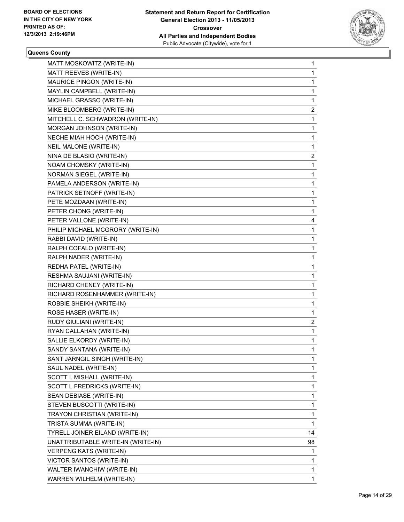

| MATT MOSKOWITZ (WRITE-IN)          | 1  |
|------------------------------------|----|
| MATT REEVES (WRITE-IN)             | 1  |
| MAURICE PINGON (WRITE-IN)          | 1  |
| MAYLIN CAMPBELL (WRITE-IN)         | 1  |
| MICHAEL GRASSO (WRITE-IN)          | 1  |
| MIKE BLOOMBERG (WRITE-IN)          | 2  |
| MITCHELL C. SCHWADRON (WRITE-IN)   | 1  |
| MORGAN JOHNSON (WRITE-IN)          | 1  |
| NECHE MIAH HOCH (WRITE-IN)         | 1  |
| <b>NEIL MALONE (WRITE-IN)</b>      | 1  |
| NINA DE BLASIO (WRITE-IN)          | 2  |
| NOAM CHOMSKY (WRITE-IN)            | 1  |
| NORMAN SIEGEL (WRITE-IN)           | 1  |
| PAMELA ANDERSON (WRITE-IN)         | 1  |
| PATRICK SETNOFF (WRITE-IN)         | 1  |
| PETE MOZDAAN (WRITE-IN)            | 1  |
| PETER CHONG (WRITE-IN)             | 1  |
| PETER VALLONE (WRITE-IN)           | 4  |
| PHILIP MICHAEL MCGRORY (WRITE-IN)  | 1  |
| RABBI DAVID (WRITE-IN)             | 1  |
| RALPH COFALO (WRITE-IN)            | 1  |
| RALPH NADER (WRITE-IN)             | 1  |
| REDHA PATEL (WRITE-IN)             | 1  |
| RESHMA SAUJANI (WRITE-IN)          | 1  |
| RICHARD CHENEY (WRITE-IN)          | 1  |
| RICHARD ROSENHAMMER (WRITE-IN)     | 1  |
| ROBBIE SHEIKH (WRITE-IN)           | 1  |
| ROSE HASER (WRITE-IN)              | 1  |
| RUDY GIULIANI (WRITE-IN)           | 2  |
| RYAN CALLAHAN (WRITE-IN)           | 1  |
| SALLIE ELKORDY (WRITE-IN)          | 1  |
| SANDY SANTANA (WRITE-IN)           | 1  |
| SANT JARNGIL SINGH (WRITE-IN)      | 1  |
| SAUL NADEL (WRITE-IN)              | 1  |
| SCOTT I. MISHALL (WRITE-IN)        | 1  |
| SCOTT L FREDRICKS (WRITE-IN)       | 1  |
| SEAN DEBIASE (WRITE-IN)            | 1  |
| STEVEN BUSCOTTI (WRITE-IN)         | 1  |
| TRAYON CHRISTIAN (WRITE-IN)        | 1  |
| TRISTA SUMMA (WRITE-IN)            | 1  |
| TYRELL JOINER EILAND (WRITE-IN)    | 14 |
| UNATTRIBUTABLE WRITE-IN (WRITE-IN) | 98 |
| VERPENG KATS (WRITE-IN)            | 1  |
| VICTOR SANTOS (WRITE-IN)           | 1  |
| WALTER IWANCHIW (WRITE-IN)         | 1  |
| WARREN WILHELM (WRITE-IN)          | 1  |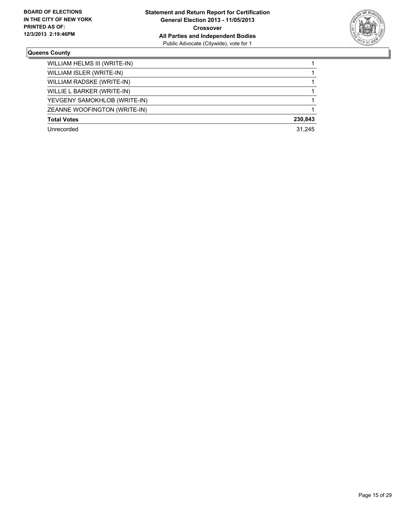

| WILLIAM HELMS III (WRITE-IN) |         |
|------------------------------|---------|
| WILLIAM ISLER (WRITE-IN)     |         |
| WILLIAM RADSKE (WRITE-IN)    |         |
| WILLIE L BARKER (WRITE-IN)   |         |
| YEVGENY SAMOKHLOB (WRITE-IN) |         |
| ZEANNE WOOFINGTON (WRITE-IN) |         |
| <b>Total Votes</b>           | 230,843 |
| Unrecorded                   | 31.245  |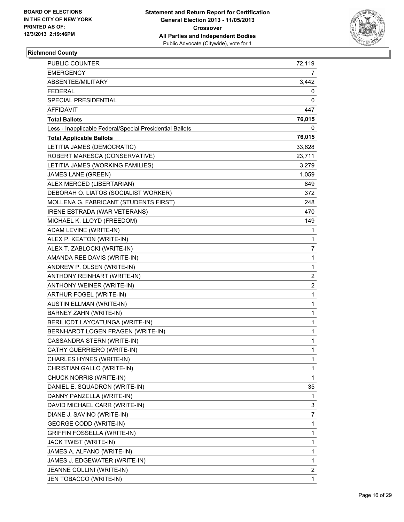

## **Richmond County**

| PUBLIC COUNTER                                           | 72,119                  |
|----------------------------------------------------------|-------------------------|
| EMERGENCY                                                | 7                       |
| ABSENTEE/MILITARY                                        | 3,442                   |
| <b>FEDERAL</b>                                           | 0                       |
| SPECIAL PRESIDENTIAL                                     | 0                       |
| <b>AFFIDAVIT</b>                                         | 447                     |
| <b>Total Ballots</b>                                     | 76,015                  |
| Less - Inapplicable Federal/Special Presidential Ballots | 0                       |
| <b>Total Applicable Ballots</b>                          | 76,015                  |
| LETITIA JAMES (DEMOCRATIC)                               | 33,628                  |
| ROBERT MARESCA (CONSERVATIVE)                            | 23,711                  |
| LETITIA JAMES (WORKING FAMILIES)                         | 3,279                   |
| <b>JAMES LANE (GREEN)</b>                                | 1,059                   |
| ALEX MERCED (LIBERTARIAN)                                | 849                     |
| DEBORAH O. LIATOS (SOCIALIST WORKER)                     | 372                     |
| MOLLENA G. FABRICANT (STUDENTS FIRST)                    | 248                     |
| IRENE ESTRADA (WAR VETERANS)                             | 470                     |
| MICHAEL K. LLOYD (FREEDOM)                               | 149                     |
| ADAM LEVINE (WRITE-IN)                                   | 1                       |
| ALEX P. KEATON (WRITE-IN)                                | 1                       |
| ALEX T. ZABLOCKI (WRITE-IN)                              | 7                       |
| AMANDA REE DAVIS (WRITE-IN)                              | $\mathbf 1$             |
| ANDREW P. OLSEN (WRITE-IN)                               | 1                       |
| ANTHONY REINHART (WRITE-IN)                              | $\overline{2}$          |
| ANTHONY WEINER (WRITE-IN)                                | $\overline{\mathbf{c}}$ |
| ARTHUR FOGEL (WRITE-IN)                                  | 1                       |
| <b>AUSTIN ELLMAN (WRITE-IN)</b>                          | 1                       |
| BARNEY ZAHN (WRITE-IN)                                   | 1                       |
| BERILICDT LAYCATUNGA (WRITE-IN)                          | 1                       |
| BERNHARDT LOGEN FRAGEN (WRITE-IN)                        | 1                       |
| CASSANDRA STERN (WRITE-IN)                               | 1                       |
| CATHY GUERRIERO (WRITE-IN)                               | 1                       |
| CHARLES HYNES (WRITE-IN)                                 | 1                       |
| CHRISTIAN GALLO (WRITE-IN)                               | 1                       |
| CHUCK NORRIS (WRITE-IN)                                  | 1                       |
| DANIEL E. SQUADRON (WRITE-IN)                            | 35                      |
| DANNY PANZELLA (WRITE-IN)                                | 1                       |
| DAVID MICHAEL CARR (WRITE-IN)                            | 3                       |
| DIANE J. SAVINO (WRITE-IN)                               | 7                       |
| <b>GEORGE CODD (WRITE-IN)</b>                            | 1                       |
| <b>GRIFFIN FOSSELLA (WRITE-IN)</b>                       | 1                       |
| JACK TWIST (WRITE-IN)                                    | 1                       |
| JAMES A. ALFANO (WRITE-IN)                               | 1                       |
| JAMES J. EDGEWATER (WRITE-IN)                            | 1                       |
| JEANNE COLLINI (WRITE-IN)                                | $\overline{2}$          |
| JEN TOBACCO (WRITE-IN)                                   | 1                       |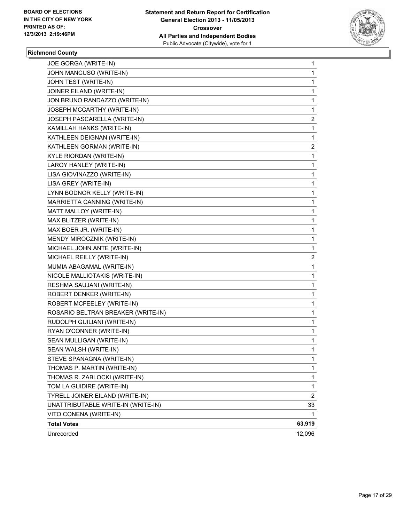

## **Richmond County**

| JOE GORGA (WRITE-IN)               | 1              |
|------------------------------------|----------------|
| JOHN MANCUSO (WRITE-IN)            | 1              |
| JOHN TEST (WRITE-IN)               | 1              |
| JOINER EILAND (WRITE-IN)           | 1              |
| JON BRUNO RANDAZZO (WRITE-IN)      | 1              |
| JOSEPH MCCARTHY (WRITE-IN)         | 1              |
| JOSEPH PASCARELLA (WRITE-IN)       | 2              |
| KAMILLAH HANKS (WRITE-IN)          | 1              |
| KATHLEEN DEIGNAN (WRITE-IN)        | 1              |
| KATHLEEN GORMAN (WRITE-IN)         | 2              |
| KYLE RIORDAN (WRITE-IN)            | 1              |
| LAROY HANLEY (WRITE-IN)            | 1              |
| LISA GIOVINAZZO (WRITE-IN)         | 1              |
| LISA GREY (WRITE-IN)               | 1              |
| LYNN BODNOR KELLY (WRITE-IN)       | 1              |
| MARRIETTA CANNING (WRITE-IN)       | 1              |
| MATT MALLOY (WRITE-IN)             | 1              |
| MAX BLITZER (WRITE-IN)             | 1              |
| MAX BOER JR. (WRITE-IN)            | 1              |
| MENDY MIROCZNIK (WRITE-IN)         | 1              |
| MICHAEL JOHN ANTE (WRITE-IN)       | 1              |
| MICHAEL REILLY (WRITE-IN)          | 2              |
| MUMIA ABAGAMAL (WRITE-IN)          | 1              |
| NICOLE MALLIOTAKIS (WRITE-IN)      | 1              |
| RESHMA SAUJANI (WRITE-IN)          | 1              |
| ROBERT DENKER (WRITE-IN)           | 1              |
| ROBERT MCFEELEY (WRITE-IN)         | 1              |
| ROSARIO BELTRAN BREAKER (WRITE-IN) | 1              |
| RUDOLPH GUILIANI (WRITE-IN)        | 1              |
| RYAN O'CONNER (WRITE-IN)           | 1              |
| SEAN MULLIGAN (WRITE-IN)           | 1              |
| SEAN WALSH (WRITE-IN)              | 1              |
| STEVE SPANAGNA (WRITE-IN)          | 1              |
| THOMAS P. MARTIN (WRITE-IN)        | 1              |
| THOMAS R. ZABLOCKI (WRITE-IN)      | 1              |
| TOM LA GUIDIRE (WRITE-IN)          | 1              |
| TYRELL JOINER EILAND (WRITE-IN)    | $\overline{2}$ |
| UNATTRIBUTABLE WRITE-IN (WRITE-IN) | 33             |
| VITO CONENA (WRITE-IN)             | 1              |
| <b>Total Votes</b>                 | 63,919         |
| Unrecorded                         | 12,096         |
|                                    |                |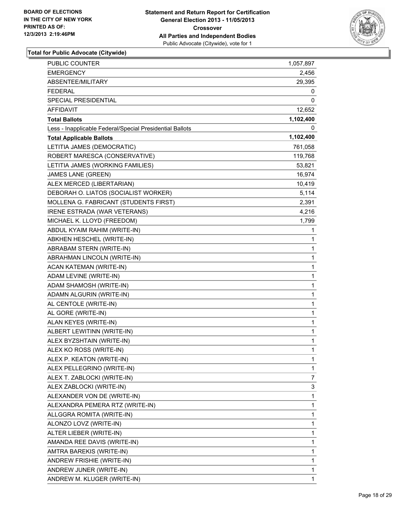

| PUBLIC COUNTER                                           | 1,057,897 |
|----------------------------------------------------------|-----------|
| <b>EMERGENCY</b>                                         | 2,456     |
| ABSENTEE/MILITARY                                        | 29,395    |
| <b>FEDERAL</b>                                           | 0         |
| SPECIAL PRESIDENTIAL                                     | 0         |
| AFFIDAVIT                                                | 12,652    |
| <b>Total Ballots</b>                                     | 1,102,400 |
| Less - Inapplicable Federal/Special Presidential Ballots | 0         |
| <b>Total Applicable Ballots</b>                          | 1,102,400 |
| LETITIA JAMES (DEMOCRATIC)                               | 761,058   |
| ROBERT MARESCA (CONSERVATIVE)                            | 119,768   |
| LETITIA JAMES (WORKING FAMILIES)                         | 53,821    |
| JAMES LANE (GREEN)                                       | 16,974    |
| ALEX MERCED (LIBERTARIAN)                                | 10,419    |
| DEBORAH O. LIATOS (SOCIALIST WORKER)                     | 5,114     |
| MOLLENA G. FABRICANT (STUDENTS FIRST)                    | 2,391     |
| IRENE ESTRADA (WAR VETERANS)                             | 4,216     |
| MICHAEL K. LLOYD (FREEDOM)                               | 1,799     |
| ABDUL KYAIM RAHIM (WRITE-IN)                             | 1         |
| ABKHEN HESCHEL (WRITE-IN)                                | 1         |
| ABRABAM STERN (WRITE-IN)                                 | 1         |
| ABRAHMAN LINCOLN (WRITE-IN)                              | 1         |
| ACAN KATEMAN (WRITE-IN)                                  | 1         |
| ADAM LEVINE (WRITE-IN)                                   | 1         |
| ADAM SHAMOSH (WRITE-IN)                                  | 1         |
| ADAMN ALGURIN (WRITE-IN)                                 | 1         |
| AL CENTOLE (WRITE-IN)                                    | 1         |
| AL GORE (WRITE-IN)                                       | 1         |
| ALAN KEYES (WRITE-IN)                                    | 1         |
| ALBERT LEWITINN (WRITE-IN)                               | 1         |
| ALEX BYZSHTAIN (WRITE-IN)                                | 1         |
| ALEX KO ROSS (WRITE-IN)                                  | 1         |
| ALEX P. KEATON (WRITE-IN)                                | 1         |
| ALEX PELLEGRINO (WRITE-IN)                               | 1         |
| ALEX T. ZABLOCKI (WRITE-IN)                              | 7         |
| ALEX ZABLOCKI (WRITE-IN)                                 | 3         |
| ALEXANDER VON DE (WRITE-IN)                              | 1         |
| ALEXANDRA PEMERA RTZ (WRITE-IN)                          | 1         |
| ALLGGRA ROMITA (WRITE-IN)                                | 1         |
| ALONZO LOVZ (WRITE-IN)                                   | 1         |
| ALTER LIEBER (WRITE-IN)                                  | 1         |
| AMANDA REE DAVIS (WRITE-IN)                              | 1         |
| AMTRA BAREKIS (WRITE-IN)                                 | 1         |
| ANDREW FRISHIE (WRITE-IN)                                | 1         |
| ANDREW JUNER (WRITE-IN)                                  | 1         |
| ANDREW M. KLUGER (WRITE-IN)                              | 1         |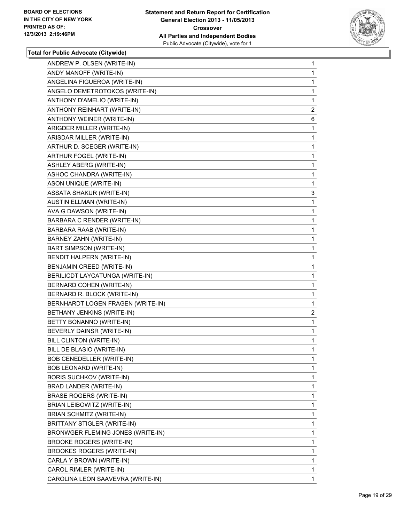

| ANDREW P. OLSEN (WRITE-IN)        | 1              |
|-----------------------------------|----------------|
| ANDY MANOFF (WRITE-IN)            | 1              |
| ANGELINA FIGUEROA (WRITE-IN)      | 1              |
| ANGELO DEMETROTOKOS (WRITE-IN)    | $\mathbf{1}$   |
| ANTHONY D'AMELIO (WRITE-IN)       | 1              |
| ANTHONY REINHART (WRITE-IN)       | $\mathbf{2}$   |
| ANTHONY WEINER (WRITE-IN)         | 6              |
| ARIGDER MILLER (WRITE-IN)         | 1              |
| ARISDAR MILLER (WRITE-IN)         | 1              |
| ARTHUR D. SCEGER (WRITE-IN)       | 1              |
| ARTHUR FOGEL (WRITE-IN)           | 1              |
| ASHLEY ABERG (WRITE-IN)           | 1              |
| ASHOC CHANDRA (WRITE-IN)          | 1              |
| ASON UNIQUE (WRITE-IN)            | 1              |
| <b>ASSATA SHAKUR (WRITE-IN)</b>   | 3              |
| <b>AUSTIN ELLMAN (WRITE-IN)</b>   | 1              |
| AVA G DAWSON (WRITE-IN)           | 1              |
| BARBARA C RENDER (WRITE-IN)       | 1              |
| BARBARA RAAB (WRITE-IN)           | 1              |
| BARNEY ZAHN (WRITE-IN)            | 1              |
| <b>BART SIMPSON (WRITE-IN)</b>    | 1              |
| BENDIT HALPERN (WRITE-IN)         | 1              |
| BENJAMIN CREED (WRITE-IN)         | 1              |
| BERILICDT LAYCATUNGA (WRITE-IN)   | 1              |
| BERNARD COHEN (WRITE-IN)          | 1              |
| BERNARD R. BLOCK (WRITE-IN)       | 1              |
| BERNHARDT LOGEN FRAGEN (WRITE-IN) | 1              |
| BETHANY JENKINS (WRITE-IN)        | $\overline{a}$ |
| BETTY BONANNO (WRITE-IN)          | 1              |
| BEVERLY DAINSR (WRITE-IN)         | 1              |
| BILL CLINTON (WRITE-IN)           | 1              |
| BILL DE BLASIO (WRITE-IN)         | 1              |
| BOB CENEDELLER (WRITE-IN)         | 1              |
|                                   | 1              |
| BOB LEONARD (WRITE-IN)            | 1              |
| BORIS SUCHKOV (WRITE-IN)          |                |
| BRAD LANDER (WRITE-IN)            | 1              |
| <b>BRASE ROGERS (WRITE-IN)</b>    | 1              |
| BRIAN LEIBOWITZ (WRITE-IN)        | 1              |
| BRIAN SCHMITZ (WRITE-IN)          | 1              |
| BRITTANY STIGLER (WRITE-IN)       | 1              |
| BRONWGER FLEMING JONES (WRITE-IN) | 1              |
| BROOKE ROGERS (WRITE-IN)          | 1              |
| <b>BROOKES ROGERS (WRITE-IN)</b>  | 1              |
| CARLA Y BROWN (WRITE-IN)          | 1              |
| CAROL RIMLER (WRITE-IN)           | 1              |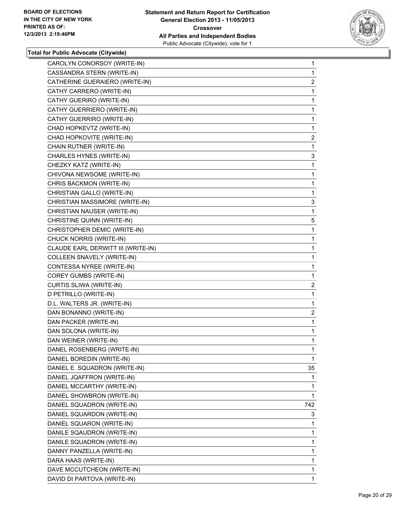

| CAROLYN CONORSOY (WRITE-IN)        | $\mathbf 1$             |
|------------------------------------|-------------------------|
| CASSANDRA STERN (WRITE-IN)         | 1                       |
| CATHERINE GUERAIERO (WRITE-IN)     | $\overline{2}$          |
| CATHY CARRERO (WRITE-IN)           | 1                       |
| CATHY GUERIRO (WRITE-IN)           | 1                       |
| CATHY GUERRIERO (WRITE-IN)         | 1                       |
| CATHY GUERRIRO (WRITE-IN)          | 1                       |
| CHAD HOPKEVTZ (WRITE-IN)           | 1                       |
| CHAD HOPKOVITE (WRITE-IN)          | 2                       |
| CHAIN RUTNER (WRITE-IN)            | 1                       |
| CHARLES HYNES (WRITE-IN)           | 3                       |
| CHEZKY KATZ (WRITE-IN)             | 1                       |
| CHIVONA NEWSOME (WRITE-IN)         | 1                       |
| CHRIS BACKMON (WRITE-IN)           | 1                       |
| CHRISTIAN GALLO (WRITE-IN)         | 1                       |
| CHRISTIAN MASSIMORE (WRITE-IN)     | 3                       |
| CHRISTIAN NAUSER (WRITE-IN)        | 1                       |
| CHRISTINE QUINN (WRITE-IN)         | 5                       |
| CHRISTOPHER DEMIC (WRITE-IN)       | 1                       |
| CHUCK NORRIS (WRITE-IN)            | 1                       |
| CLAUDE EARL DERWITT III (WRITE-IN) | 1                       |
| COLLEEN SNAVELY (WRITE-IN)         | 1                       |
| CONTESSA NYREE (WRITE-IN)          | 1                       |
| COREY GUMBS (WRITE-IN)             | 1                       |
| CURTIS SLIWA (WRITE-IN)            | $\overline{\mathbf{c}}$ |
| D PETRILLO (WRITE-IN)              | 1                       |
| D.L. WALTERS JR. (WRITE-IN)        | 1                       |
| DAN BONANNO (WRITE-IN)             | $\overline{c}$          |
| DAN PACKER (WRITE-IN)              | 1                       |
| DAN SOLONA (WRITE-IN)              | 1                       |
| DAN WEINER (WRITE-IN)              | 1                       |
| DANEL ROSENBERG (WRITE-IN)         | 1                       |
| DANIEL BOREDIN (WRITE-IN)          | $\mathbf{1}$            |
| DANIEL E. SQUADRON (WRITE-IN)      | 35                      |
| DANIEL JQAFFRON (WRITE-IN)         | 1                       |
| DANIEL MCCARTHY (WRITE-IN)         | 1                       |
| DANIEL SHOWBRON (WRITE-IN)         | 1                       |
| DANIEL SQUADRON (WRITE-IN)         | 742                     |
| DANIEL SQUARDON (WRITE-IN)         | 3                       |
| DANIEL SQUARON (WRITE-IN)          | 1                       |
| DANILE SQAUDRON (WRITE-IN)         | 1                       |
| DANILE SQUADRON (WRITE-IN)         | 1                       |
| DANNY PANZELLA (WRITE-IN)          | 1                       |
| DARA HAAS (WRITE-IN)               | 1                       |
| DAVE MCCUTCHEON (WRITE-IN)         | 1                       |
| DAVID DI PARTOVA (WRITE-IN)        | 1                       |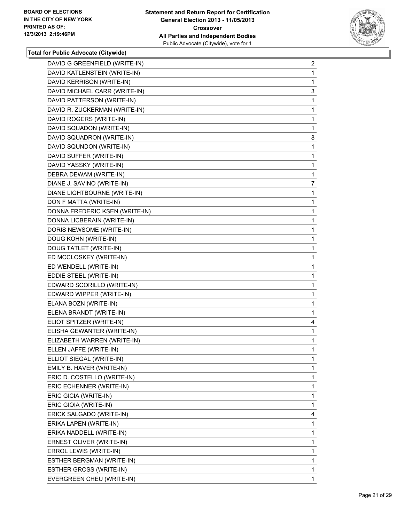

| DAVID G GREENFIELD (WRITE-IN)  | $\overline{2}$ |
|--------------------------------|----------------|
| DAVID KATLENSTEIN (WRITE-IN)   | 1              |
| DAVID KERRISON (WRITE-IN)      | 1              |
| DAVID MICHAEL CARR (WRITE-IN)  | 3              |
| DAVID PATTERSON (WRITE-IN)     | 1              |
| DAVID R. ZUCKERMAN (WRITE-IN)  | 1              |
| DAVID ROGERS (WRITE-IN)        | 1              |
| DAVID SQUADON (WRITE-IN)       | 1              |
| DAVID SQUADRON (WRITE-IN)      | 8              |
| DAVID SQUNDON (WRITE-IN)       | 1              |
| DAVID SUFFER (WRITE-IN)        | 1              |
| DAVID YASSKY (WRITE-IN)        | 1              |
| DEBRA DEWAM (WRITE-IN)         | 1              |
| DIANE J. SAVINO (WRITE-IN)     | $\overline{7}$ |
| DIANE LIGHTBOURNE (WRITE-IN)   | 1              |
| DON F MATTA (WRITE-IN)         | 1              |
| DONNA FREDERIC KSEN (WRITE-IN) | 1              |
| DONNA LICBERAIN (WRITE-IN)     | 1              |
| DORIS NEWSOME (WRITE-IN)       | 1              |
| DOUG KOHN (WRITE-IN)           | 1              |
| DOUG TATLET (WRITE-IN)         | 1              |
| ED MCCLOSKEY (WRITE-IN)        | 1              |
| ED WENDELL (WRITE-IN)          | 1              |
| EDDIE STEEL (WRITE-IN)         | 1              |
| EDWARD SCORILLO (WRITE-IN)     | 1              |
| EDWARD WIPPER (WRITE-IN)       | 1              |
| ELANA BOZN (WRITE-IN)          | 1              |
| ELENA BRANDT (WRITE-IN)        | 1              |
| ELIOT SPITZER (WRITE-IN)       | 4              |
| ELISHA GEWANTER (WRITE-IN)     | 1              |
| ELIZABETH WARREN (WRITE-IN)    | 1              |
| ELLEN JAFFE (WRITE-IN)         | 1              |
| ELLIOT SIEGAL (WRITE-IN)       | 1              |
| EMILY B. HAVER (WRITE-IN)      | 1              |
| ERIC D. COSTELLO (WRITE-IN)    | 1              |
| ERIC ECHENNER (WRITE-IN)       | 1              |
| ERIC GICIA (WRITE-IN)          | 1              |
| ERIC GIOIA (WRITE-IN)          | 1              |
| ERICK SALGADO (WRITE-IN)       | 4              |
| ERIKA LAPEN (WRITE-IN)         | 1              |
| ERIKA NADDELL (WRITE-IN)       | 1              |
| ERNEST OLIVER (WRITE-IN)       | 1              |
| ERROL LEWIS (WRITE-IN)         | 1              |
| ESTHER BERGMAN (WRITE-IN)      | 1              |
| <b>ESTHER GROSS (WRITE-IN)</b> | 1              |
| EVERGREEN CHEU (WRITE-IN)      | 1              |
|                                |                |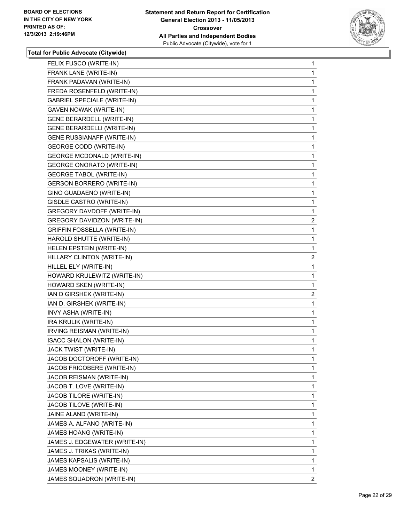

| FELIX FUSCO (WRITE-IN)             | 1            |
|------------------------------------|--------------|
| FRANK LANE (WRITE-IN)              | 1            |
| FRANK PADAVAN (WRITE-IN)           | 1            |
| FREDA ROSENFELD (WRITE-IN)         | 1            |
| <b>GABRIEL SPECIALE (WRITE-IN)</b> | 1            |
| <b>GAVEN NOWAK (WRITE-IN)</b>      | 1            |
| <b>GENE BERARDELL (WRITE-IN)</b>   | 1            |
| <b>GENE BERARDELLI (WRITE-IN)</b>  | 1            |
| <b>GENE RUSSIANAFF (WRITE-IN)</b>  | 1            |
| <b>GEORGE CODD (WRITE-IN)</b>      | 1            |
| <b>GEORGE MCDONALD (WRITE-IN)</b>  | 1            |
| <b>GEORGE ONORATO (WRITE-IN)</b>   | 1            |
| <b>GEORGE TABOL (WRITE-IN)</b>     | 1            |
| <b>GERSON BORRERO (WRITE-IN)</b>   | 1            |
| GINO GUADAENO (WRITE-IN)           | 1            |
| GISDLE CASTRO (WRITE-IN)           | 1            |
| GREGORY DAVDOFF (WRITE-IN)         | 1            |
| GREGORY DAVIDZON (WRITE-IN)        | $\mathbf{2}$ |
| <b>GRIFFIN FOSSELLA (WRITE-IN)</b> | 1            |
| HAROLD SHUTTE (WRITE-IN)           | 1            |
| HELEN EPSTEIN (WRITE-IN)           | 1            |
| HILLARY CLINTON (WRITE-IN)         | 2            |
| HILLEL ELY (WRITE-IN)              | 1            |
| HOWARD KRULEWITZ (WRITE-IN)        | 1            |
| HOWARD SKEN (WRITE-IN)             | 1            |
| IAN D GIRSHEK (WRITE-IN)           | $\mathbf{2}$ |
| IAN D. GIRSHEK (WRITE-IN)          | 1            |
| INVY ASHA (WRITE-IN)               | 1            |
| IRA KRULIK (WRITE-IN)              | 1            |
| IRVING REISMAN (WRITE-IN)          | 1            |
| <b>ISACC SHALON (WRITE-IN)</b>     | 1            |
| JACK TWIST (WRITE-IN)              | 1            |
| JACOB DOCTOROFF (WRITE-IN)         | 1            |
| JACOB FRICOBERE (WRITE-IN)         | 1            |
| JACOB REISMAN (WRITE-IN)           | 1            |
| JACOB T. LOVE (WRITE-IN)           | 1            |
| JACOB TILORE (WRITE-IN)            | 1            |
| JACOB TILOVE (WRITE-IN)            | 1            |
| JAINE ALAND (WRITE-IN)             | 1            |
| JAMES A. ALFANO (WRITE-IN)         | 1            |
| JAMES HOANG (WRITE-IN)             | 1            |
| JAMES J. EDGEWATER (WRITE-IN)      | 1            |
| JAMES J. TRIKAS (WRITE-IN)         | 1            |
| JAMES KAPSALIS (WRITE-IN)          | 1            |
| JAMES MOONEY (WRITE-IN)            | 1            |
| JAMES SQUADRON (WRITE-IN)          | $\mathbf{2}$ |
|                                    |              |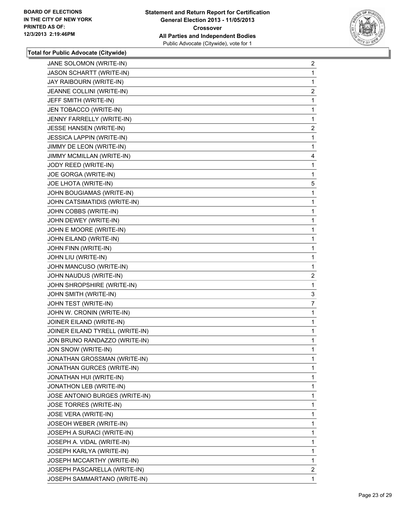

| JANE SOLOMON (WRITE-IN)         | 2              |
|---------------------------------|----------------|
| JASON SCHARTT (WRITE-IN)        | 1              |
| JAY RAIBOURN (WRITE-IN)         | 1              |
| JEANNE COLLINI (WRITE-IN)       | 2              |
| JEFF SMITH (WRITE-IN)           | 1              |
| JEN TOBACCO (WRITE-IN)          | 1              |
| JENNY FARRELLY (WRITE-IN)       | 1              |
| JESSE HANSEN (WRITE-IN)         | $\mathbf{2}$   |
| JESSICA LAPPIN (WRITE-IN)       | 1              |
| JIMMY DE LEON (WRITE-IN)        | 1              |
| JIMMY MCMILLAN (WRITE-IN)       | 4              |
| JODY REED (WRITE-IN)            | 1              |
| JOE GORGA (WRITE-IN)            | 1              |
| JOE LHOTA (WRITE-IN)            | 5              |
| JOHN BOUGIAMAS (WRITE-IN)       | 1              |
| JOHN CATSIMATIDIS (WRITE-IN)    | 1              |
| JOHN COBBS (WRITE-IN)           | 1              |
| JOHN DEWEY (WRITE-IN)           | 1              |
| JOHN E MOORE (WRITE-IN)         | 1              |
| JOHN EILAND (WRITE-IN)          | 1              |
| JOHN FINN (WRITE-IN)            | 1              |
| JOHN LIU (WRITE-IN)             | 1              |
| JOHN MANCUSO (WRITE-IN)         | 1              |
| JOHN NAUDUS (WRITE-IN)          | 2              |
| JOHN SHROPSHIRE (WRITE-IN)      | 1              |
| JOHN SMITH (WRITE-IN)           | 3              |
| JOHN TEST (WRITE-IN)            | $\overline{7}$ |
| JOHN W. CRONIN (WRITE-IN)       | 1              |
| JOINER EILAND (WRITE-IN)        | 1              |
| JOINER EILAND TYRELL (WRITE-IN) | 1              |
| JON BRUNO RANDAZZO (WRITE-IN)   | 1              |
| JON SNOW (WRITE-IN)             | 1              |
| JONATHAN GROSSMAN (WRITE-IN)    | 1              |
| JONATHAN GURCES (WRITE-IN)      | $\mathbf{1}$   |
| JONATHAN HUI (WRITE-IN)         | 1              |
| JONATHON LEB (WRITE-IN)         | 1              |
| JOSE ANTONIO BURGES (WRITE-IN)  | 1              |
| JOSE TORRES (WRITE-IN)          | 1              |
| <b>JOSE VERA (WRITE-IN)</b>     | 1              |
| JOSEOH WEBER (WRITE-IN)         | 1              |
| JOSEPH A SURACI (WRITE-IN)      | 1              |
| JOSEPH A. VIDAL (WRITE-IN)      | 1              |
| JOSEPH KARLYA (WRITE-IN)        | 1              |
| JOSEPH MCCARTHY (WRITE-IN)      | 1              |
| JOSEPH PASCARELLA (WRITE-IN)    | $\overline{2}$ |
|                                 |                |
| JOSEPH SAMMARTANO (WRITE-IN)    | 1.             |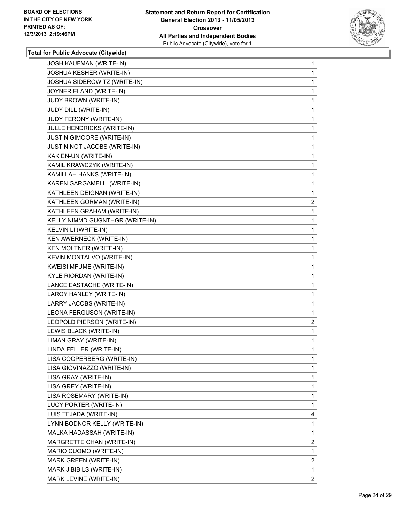

| <b>JOSH KAUFMAN (WRITE-IN)</b>   | 1              |
|----------------------------------|----------------|
| <b>JOSHUA KESHER (WRITE-IN)</b>  | 1              |
| JOSHUA SIDEROWITZ (WRITE-IN)     | 1              |
| JOYNER ELAND (WRITE-IN)          | 1              |
| JUDY BROWN (WRITE-IN)            | 1              |
| JUDY DILL (WRITE-IN)             | 1              |
| JUDY FERONY (WRITE-IN)           | 1              |
| JULLE HENDRICKS (WRITE-IN)       | 1              |
| <b>JUSTIN GIMOORE (WRITE-IN)</b> | 1              |
| JUSTIN NOT JACOBS (WRITE-IN)     | 1              |
| KAK EN-UN (WRITE-IN)             | 1              |
| KAMIL KRAWCZYK (WRITE-IN)        | 1              |
| KAMILLAH HANKS (WRITE-IN)        | 1              |
| KAREN GARGAMELLI (WRITE-IN)      | 1              |
| KATHLEEN DEIGNAN (WRITE-IN)      | 1              |
| KATHLEEN GORMAN (WRITE-IN)       | $\mathbf{2}$   |
| KATHLEEN GRAHAM (WRITE-IN)       | 1              |
| KELLY NIMMD GUGNTHGR (WRITE-IN)  | 1              |
| KELVIN LI (WRITE-IN)             | 1              |
| KEN AWERNECK (WRITE-IN)          | 1              |
| KEN MOLTNER (WRITE-IN)           | 1              |
| KEVIN MONTALVO (WRITE-IN)        | 1              |
| KWEISI MFUME (WRITE-IN)          | 1              |
| KYLE RIORDAN (WRITE-IN)          | 1              |
| LANCE EASTACHE (WRITE-IN)        | 1              |
| LAROY HANLEY (WRITE-IN)          | 1              |
| LARRY JACOBS (WRITE-IN)          | 1              |
| LEONA FERGUSON (WRITE-IN)        | 1              |
| LEOPOLD PIERSON (WRITE-IN)       | 2              |
| LEWIS BLACK (WRITE-IN)           | 1              |
| LIMAN GRAY (WRITE-IN)            | 1              |
| LINDA FELLER (WRITE-IN)          | 1              |
| LISA COOPERBERG (WRITE-IN)       | 1              |
| LISA GIOVINAZZO (WRITE-IN)       | 1              |
| LISA GRAY (WRITE-IN)             | 1              |
| LISA GREY (WRITE-IN)             | 1              |
| LISA ROSEMARY (WRITE-IN)         | 1              |
| LUCY PORTER (WRITE-IN)           | 1              |
| LUIS TEJADA (WRITE-IN)           | 4              |
| LYNN BODNOR KELLY (WRITE-IN)     | 1              |
| MALKA HADASSAH (WRITE-IN)        | 1              |
| MARGRETTE CHAN (WRITE-IN)        | $\overline{2}$ |
| MARIO CUOMO (WRITE-IN)           | 1              |
| MARK GREEN (WRITE-IN)            | $\overline{2}$ |
| MARK J BIBILS (WRITE-IN)         | 1              |
| MARK LEVINE (WRITE-IN)           | $\mathbf{2}$   |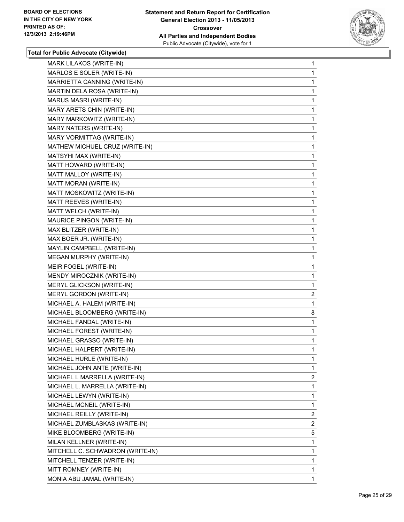

| MARK LILAKOS (WRITE-IN)          | 1              |
|----------------------------------|----------------|
| MARLOS E SOLER (WRITE-IN)        | 1              |
| MARRIETTA CANNING (WRITE-IN)     | 1              |
| MARTIN DELA ROSA (WRITE-IN)      | 1              |
| MARUS MASRI (WRITE-IN)           | 1              |
| MARY ARETS CHIN (WRITE-IN)       | 1              |
| MARY MARKOWITZ (WRITE-IN)        | 1              |
| MARY NATERS (WRITE-IN)           | 1              |
| MARY VORMITTAG (WRITE-IN)        | 1              |
| MATHEW MICHUEL CRUZ (WRITE-IN)   | 1              |
| MATSYHI MAX (WRITE-IN)           | 1              |
| MATT HOWARD (WRITE-IN)           | 1              |
| MATT MALLOY (WRITE-IN)           | 1              |
| MATT MORAN (WRITE-IN)            | 1              |
| MATT MOSKOWITZ (WRITE-IN)        | 1              |
| MATT REEVES (WRITE-IN)           | 1              |
| MATT WELCH (WRITE-IN)            | 1              |
| MAURICE PINGON (WRITE-IN)        | 1              |
| MAX BLITZER (WRITE-IN)           | 1              |
| MAX BOER JR. (WRITE-IN)          | 1              |
| MAYLIN CAMPBELL (WRITE-IN)       | 1              |
| MEGAN MURPHY (WRITE-IN)          | 1              |
| MEIR FOGEL (WRITE-IN)            | 1              |
| MENDY MIROCZNIK (WRITE-IN)       | 1              |
| MERYL GLICKSON (WRITE-IN)        | 1              |
| MERYL GORDON (WRITE-IN)          | $\overline{2}$ |
| MICHAEL A. HALEM (WRITE-IN)      | 1              |
| MICHAEL BLOOMBERG (WRITE-IN)     | 8              |
| MICHAEL FANDAL (WRITE-IN)        | 1              |
| MICHAEL FOREST (WRITE-IN)        | 1              |
| MICHAEL GRASSO (WRITE-IN)        | 1              |
| MICHAEL HALPERT (WRITE-IN)       | 1              |
| MICHAEL HURLE (WRITE-IN)         | 1              |
| MICHAEL JOHN ANTE (WRITE-IN)     | 1              |
| MICHAEL L MARRELLA (WRITE-IN)    | $\overline{2}$ |
| MICHAEL L. MARRELLA (WRITE-IN)   | 1              |
| MICHAEL LEWYN (WRITE-IN)         | 1              |
| MICHAEL MCNEIL (WRITE-IN)        | 1              |
| MICHAEL REILLY (WRITE-IN)        | $\overline{2}$ |
| MICHAEL ZUMBLASKAS (WRITE-IN)    | $\mathbf{2}$   |
| MIKE BLOOMBERG (WRITE-IN)        | 5              |
| MILAN KELLNER (WRITE-IN)         | 1              |
| MITCHELL C. SCHWADRON (WRITE-IN) | 1              |
|                                  |                |
| MITCHELL TENZER (WRITE-IN)       | 1              |
| MITT ROMNEY (WRITE-IN)           | $\mathbf{1}$   |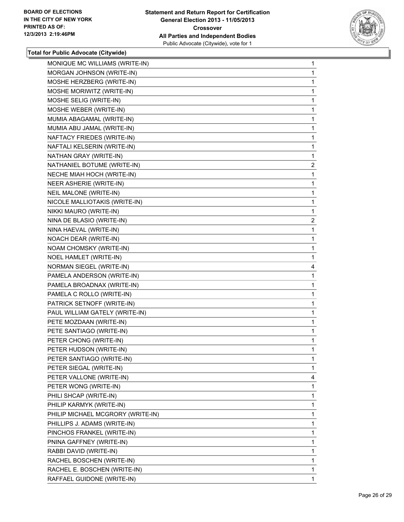

| MONIQUE MC WILLIAMS (WRITE-IN)    | 1            |
|-----------------------------------|--------------|
| MORGAN JOHNSON (WRITE-IN)         | 1            |
| MOSHE HERZBERG (WRITE-IN)         | 1            |
| MOSHE MORIWITZ (WRITE-IN)         | $\mathbf{1}$ |
| MOSHE SELIG (WRITE-IN)            | 1            |
| MOSHE WEBER (WRITE-IN)            | 1            |
| MUMIA ABAGAMAL (WRITE-IN)         | 1            |
| MUMIA ABU JAMAL (WRITE-IN)        | 1            |
| NAFTACY FRIEDES (WRITE-IN)        | 1            |
| NAFTALI KELSERIN (WRITE-IN)       | $\mathbf{1}$ |
| NATHAN GRAY (WRITE-IN)            | 1            |
| NATHANIEL BOTUME (WRITE-IN)       | $\mathbf{2}$ |
| NECHE MIAH HOCH (WRITE-IN)        | 1            |
| NEER ASHERIE (WRITE-IN)           | 1            |
| NEIL MALONE (WRITE-IN)            | 1            |
| NICOLE MALLIOTAKIS (WRITE-IN)     | $\mathbf{1}$ |
| NIKKI MAURO (WRITE-IN)            | 1            |
| NINA DE BLASIO (WRITE-IN)         | $\mathbf{2}$ |
| NINA HAEVAL (WRITE-IN)            | 1            |
| NOACH DEAR (WRITE-IN)             | 1            |
| NOAM CHOMSKY (WRITE-IN)           | 1            |
| NOEL HAMLET (WRITE-IN)            | 1            |
| NORMAN SIEGEL (WRITE-IN)          | 4            |
| PAMELA ANDERSON (WRITE-IN)        | 1            |
| PAMELA BROADNAX (WRITE-IN)        | 1            |
| PAMELA C ROLLO (WRITE-IN)         | 1            |
| PATRICK SETNOFF (WRITE-IN)        | 1            |
| PAUL WILLIAM GATELY (WRITE-IN)    | 1            |
| PETE MOZDAAN (WRITE-IN)           | 1            |
| PETE SANTIAGO (WRITE-IN)          | 1            |
| PETER CHONG (WRITE-IN)            | 1            |
| PETER HUDSON (WRITE-IN)           | 1            |
| PETER SANTIAGO (WRITE-IN)         | 1            |
| PETER SIEGAL (WRITE-IN)           | 1            |
| PETER VALLONE (WRITE-IN)          | 4            |
| PETER WONG (WRITE-IN)             | 1            |
| PHILI SHCAP (WRITE-IN)            | 1            |
| PHILIP KARMYK (WRITE-IN)          | 1            |
| PHILIP MICHAEL MCGRORY (WRITE-IN) | 1            |
| PHILLIPS J. ADAMS (WRITE-IN)      | 1            |
| PINCHOS FRANKEL (WRITE-IN)        | 1            |
| PNINA GAFFNEY (WRITE-IN)          | 1            |
| RABBI DAVID (WRITE-IN)            | 1            |
| RACHEL BOSCHEN (WRITE-IN)         | 1            |
| RACHEL E. BOSCHEN (WRITE-IN)      | 1            |
|                                   |              |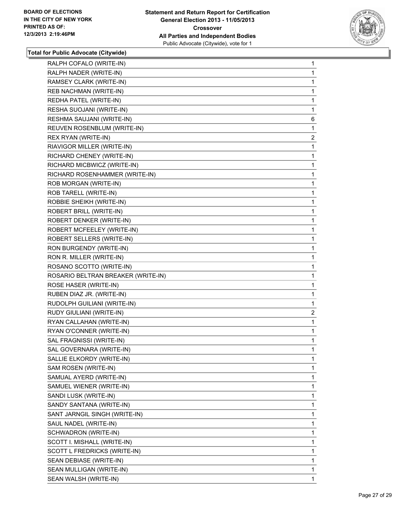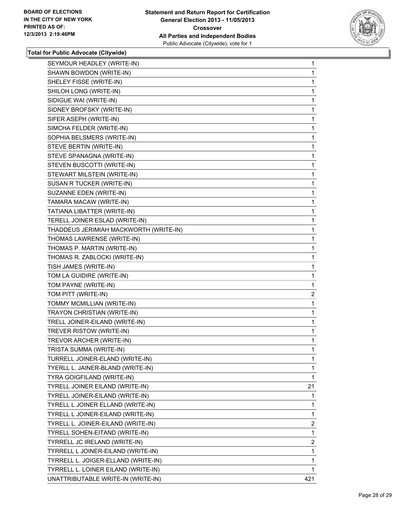

| SEYMOUR HEADLEY (WRITE-IN)             | $\mathbf{1}$   |
|----------------------------------------|----------------|
| SHAWN BOWDON (WRITE-IN)                | 1              |
| SHELEY FISSE (WRITE-IN)                | 1              |
| SHILOH LONG (WRITE-IN)                 | 1              |
| SIDIGUE WAI (WRITE-IN)                 | 1              |
| SIDNEY BROFSKY (WRITE-IN)              | 1              |
| SIFER ASEPH (WRITE-IN)                 | 1              |
| SIMCHA FELDER (WRITE-IN)               | 1              |
| SOPHIA BELSMERS (WRITE-IN)             | 1              |
| STEVE BERTIN (WRITE-IN)                | 1              |
| STEVE SPANAGNA (WRITE-IN)              | 1              |
| STEVEN BUSCOTTI (WRITE-IN)             | 1              |
| STEWART MILSTEIN (WRITE-IN)            | 1              |
| SUSAN R TUCKER (WRITE-IN)              | 1              |
| SUZANNE EDEN (WRITE-IN)                | 1              |
| TAMARA MACAW (WRITE-IN)                | 1              |
| TATIANA LIBATTER (WRITE-IN)            | 1              |
| TERELL JOINER ESLAD (WRITE-IN)         | 1              |
| THADDEUS JERIMIAH MACKWORTH (WRITE-IN) | 1              |
| THOMAS LAWRENSE (WRITE-IN)             | 1              |
| THOMAS P. MARTIN (WRITE-IN)            | 1              |
| THOMAS R. ZABLOCKI (WRITE-IN)          | 1              |
| TISH JAMES (WRITE-IN)                  | 1              |
| TOM LA GUIDIRE (WRITE-IN)              | 1              |
| TOM PAYNE (WRITE-IN)                   | 1              |
| TOM PITT (WRITE-IN)                    | $\overline{c}$ |
| TOMMY MCMILLIAN (WRITE-IN)             | 1              |
| TRAYON CHRISTIAN (WRITE-IN)            | 1              |
| TRELL JOINER-EILAND (WRITE-IN)         | 1              |
| TREVER RISTOW (WRITE-IN)               | 1              |
| TREVOR ARCHER (WRITE-IN)               | 1              |
| TRISTA SUMMA (WRITE-IN)                | 1              |
| TURRELL JOINER-ELAND (WRITE-IN)        | 1              |
| TYERLL L. JAINER-BLAND (WRITE-IN)      | $\mathbf{1}$   |
| TYRA GOIGFILAND (WRITE-IN)             | 1              |
| TYRELL JOINER EILAND (WRITE-IN)        | 21             |
| TYRELL JOINER-EILAND (WRITE-IN)        | 1              |
| TYRELL L JOINER ELLAND (WRITE-IN)      | 1              |
| TYRELL L JOINER-EILAND (WRITE-IN)      | 1              |
| TYRELL L. JOINER-EILAND (WRITE-IN)     | 2              |
| TYRELL SOHEN-EITAND (WRITE-IN)         | 1              |
| TYRRELL JC IRELAND (WRITE-IN)          | 2              |
| TYRRELL L JOINER-EILAND (WRITE-IN)     | 1              |
| TYRRELL L. JOIGER-ELLAND (WRITE-IN)    | 1              |
| TYRRELL L. LOINER EILAND (WRITE-IN)    | 1              |
| UNATTRIBUTABLE WRITE-IN (WRITE-IN)     | 421            |
|                                        |                |